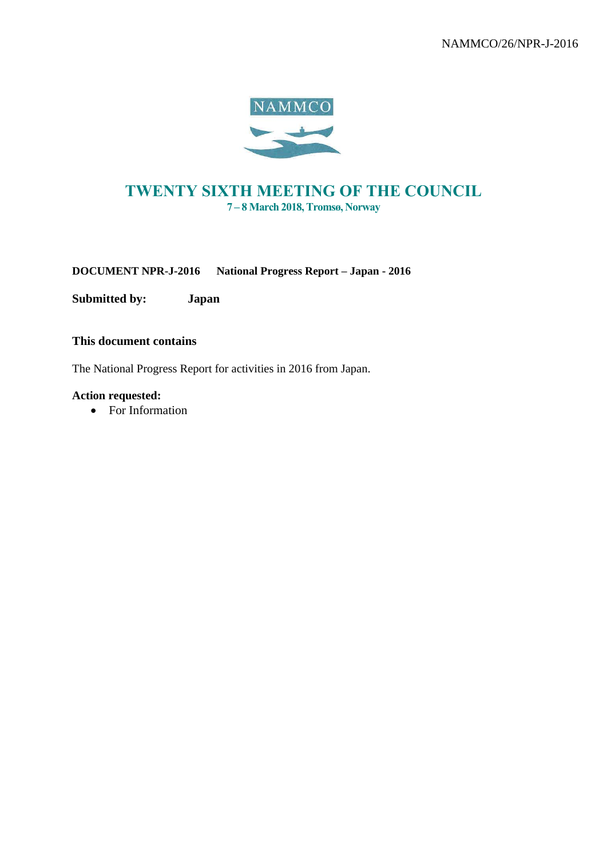

# TWENTY SIXTH MEETING OF THE COUNCIL 7 – 8 March 2018, Tromsø, Norway

**DOCUMENT NPR-J-2016 National Progress Report – Japan - 2016**

**Submitted by: Japan**

## **This document contains**

The National Progress Report for activities in 2016 from Japan.

## **Action requested:**

• For Information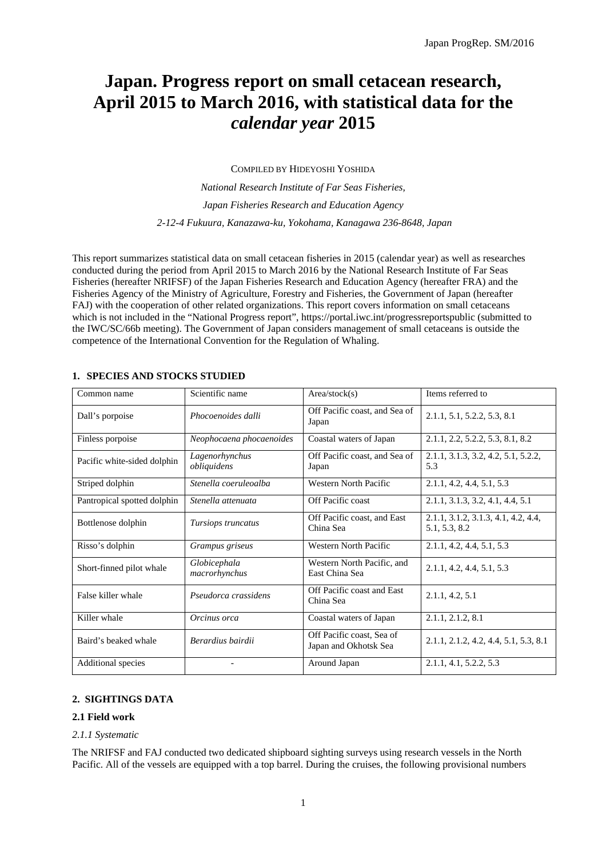# **Japan. Progress report on small cetacean research, April 2015 to March 2016, with statistical data for the**  *calendar year* **2015**

COMPILED BY HIDEYOSHI YOSHIDA *National Research Institute of Far Seas Fisheries, Japan Fisheries Research and Education Agency 2-12-4 Fukuura, Kanazawa-ku, Yokohama, Kanagawa 236-8648, Japan* 

This report summarizes statistical data on small cetacean fisheries in 2015 (calendar year) as well as researches conducted during the period from April 2015 to March 2016 by the National Research Institute of Far Seas Fisheries (hereafter NRIFSF) of the Japan Fisheries Research and Education Agency (hereafter FRA) and the Fisheries Agency of the Ministry of Agriculture, Forestry and Fisheries, the Government of Japan (hereafter FAJ) with the cooperation of other related organizations. This report covers information on small cetaceans which is not included in the "National Progress report", https://portal.iwc.int/progressreportspublic (submitted to the IWC/SC/66b meeting). The Government of Japan considers management of small cetaceans is outside the competence of the International Convention for the Regulation of Whaling.

| Common name                 | Scientific name               | Area/stock(s)                                      | Items referred to                                    |
|-----------------------------|-------------------------------|----------------------------------------------------|------------------------------------------------------|
| Dall's porpoise             | Phocoenoides dalli            | Off Pacific coast, and Sea of<br>Japan             | 2.1.1, 5.1, 5.2.2, 5.3, 8.1                          |
| Finless porpoise            | Neophocaena phocaenoides      | Coastal waters of Japan                            | 2.1.1, 2.2, 5.2.2, 5.3, 8.1, 8.2                     |
| Pacific white-sided dolphin | Lagenorhynchus<br>obliquidens | Off Pacific coast, and Sea of<br>Japan             | 2.1.1, 3.1.3, 3.2, 4.2, 5.1, 5.2.2,<br>5.3           |
| Striped dolphin             | Stenella coeruleoalba         | Western North Pacific                              | 2.1.1, 4.2, 4.4, 5.1, 5.3                            |
| Pantropical spotted dolphin | Stenella attenuata            | Off Pacific coast                                  | 2.1.1, 3.1.3, 3.2, 4.1, 4.4, 5.1                     |
| Bottlenose dolphin          | Tursiops truncatus            | Off Pacific coast, and East<br>China Sea           | 2.1.1, 3.1.2, 3.1.3, 4.1, 4.2, 4.4,<br>5.1, 5.3, 8.2 |
| Risso's dolphin             | Grampus griseus               | Western North Pacific                              | 2.1.1, 4.2, 4.4, 5.1, 5.3                            |
| Short-finned pilot whale    | Globicephala<br>macrorhynchus | Western North Pacific, and<br>East China Sea       | 2.1.1, 4.2, 4.4, 5.1, 5.3                            |
| False killer whale          | Pseudorca crassidens          | Off Pacific coast and East<br>China Sea            | 2.1.1, 4.2, 5.1                                      |
| Killer whale                | Orcinus orca                  | Coastal waters of Japan                            | 2.1.1, 2.1.2, 8.1                                    |
| Baird's beaked whale        | Berardius bairdii             | Off Pacific coast, Sea of<br>Japan and Okhotsk Sea | 2.1.1, 2.1.2, 4.2, 4.4, 5.1, 5.3, 8.1                |
| Additional species          |                               | Around Japan                                       | 2.1.1, 4.1, 5.2.2, 5.3                               |

## **1. SPECIES AND STOCKS STUDIED**

## **2. SIGHTINGS DATA**

#### **2.1 Field work**

#### *2.1.1 Systematic*

The NRIFSF and FAJ conducted two dedicated shipboard sighting surveys using research vessels in the North Pacific. All of the vessels are equipped with a top barrel. During the cruises, the following provisional numbers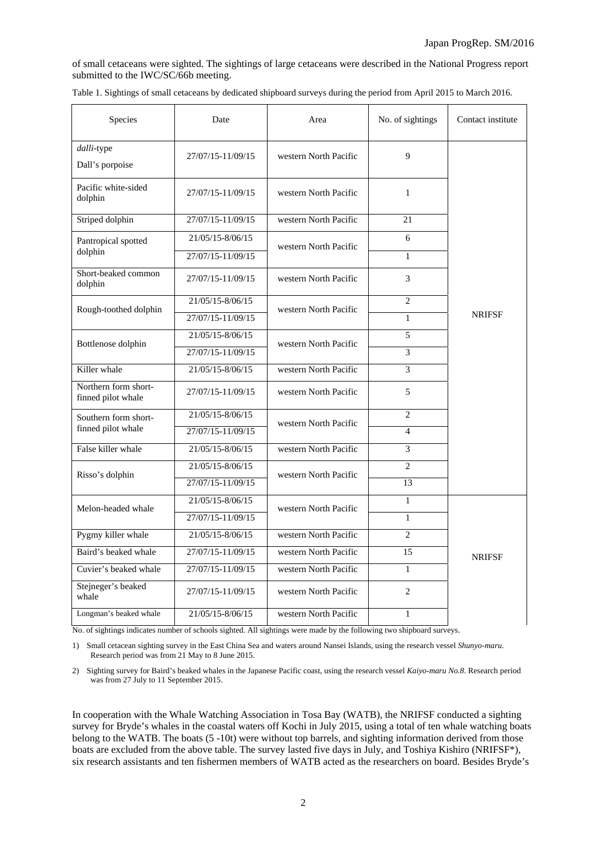of small cetaceans were sighted. The sightings of large cetaceans were described in the National Progress report submitted to the IWC/SC/66b meeting.

| Table 1. Sightings of small cetaceans by dedicated shipboard surveys during the period from April 2015 to March 2016. |  |  |  |  |
|-----------------------------------------------------------------------------------------------------------------------|--|--|--|--|
|                                                                                                                       |  |  |  |  |

| Species                                    | Date              | Area                  | No. of sightings | Contact institute |
|--------------------------------------------|-------------------|-----------------------|------------------|-------------------|
| dalli-type<br>Dall's porpoise              | 27/07/15-11/09/15 | western North Pacific | 9                |                   |
| Pacific white-sided<br>dolphin             | 27/07/15-11/09/15 | western North Pacific | $\mathbf{1}$     |                   |
| Striped dolphin                            | 27/07/15-11/09/15 | western North Pacific | 21               |                   |
| Pantropical spotted                        | 21/05/15-8/06/15  | western North Pacific | 6                |                   |
| dolphin                                    | 27/07/15-11/09/15 |                       | $\mathbf{1}$     |                   |
| Short-beaked common<br>dolphin             | 27/07/15-11/09/15 | western North Pacific | 3                |                   |
| Rough-toothed dolphin                      | 21/05/15-8/06/15  | western North Pacific | $\overline{c}$   |                   |
|                                            | 27/07/15-11/09/15 |                       | $\mathbf{1}$     | <b>NRIFSF</b>     |
| Bottlenose dolphin                         | 21/05/15-8/06/15  | western North Pacific | 5                |                   |
|                                            | 27/07/15-11/09/15 |                       | 3                |                   |
| Killer whale                               | 21/05/15-8/06/15  | western North Pacific | 3                |                   |
| Northern form short-<br>finned pilot whale | 27/07/15-11/09/15 | western North Pacific | 5                |                   |
| Southern form short-                       | 21/05/15-8/06/15  | western North Pacific | $\overline{c}$   |                   |
| finned pilot whale                         | 27/07/15-11/09/15 |                       | $\overline{4}$   |                   |
| False killer whale                         | 21/05/15-8/06/15  | western North Pacific | 3                |                   |
| Risso's dolphin                            | 21/05/15-8/06/15  | western North Pacific | $\overline{c}$   |                   |
|                                            | 27/07/15-11/09/15 |                       | 13               |                   |
| Melon-headed whale                         | 21/05/15-8/06/15  | western North Pacific | $\mathbf{1}$     |                   |
|                                            | 27/07/15-11/09/15 |                       | $\mathbf{1}$     |                   |
| Pygmy killer whale                         | 21/05/15-8/06/15  | western North Pacific | $\overline{c}$   |                   |
| Baird's beaked whale                       | 27/07/15-11/09/15 | western North Pacific | 15               | <b>NRIFSF</b>     |
| Cuvier's beaked whale                      | 27/07/15-11/09/15 | western North Pacific | $\mathbf{1}$     |                   |
| Stejneger's beaked<br>whale                | 27/07/15-11/09/15 | western North Pacific | $\overline{2}$   |                   |
| Longman's beaked whale                     | 21/05/15-8/06/15  | western North Pacific | $\mathbf{1}$     |                   |

No. of sightings indicates number of schools sighted. All sightings were made by the following two shipboard surveys.

1) Small cetacean sighting survey in the East China Sea and waters around Nansei Islands, using the research vessel *Shunyo-maru*. Research period was from 21 May to 8 June 2015.

2) Sighting survey for Baird's beaked whales in the Japanese Pacific coast, using the research vessel *Kaiyo-maru No.8*. Research period was from 27 July to 11 September 2015.

In cooperation with the Whale Watching Association in Tosa Bay (WATB), the NRIFSF conducted a sighting survey for Bryde's whales in the coastal waters off Kochi in July 2015, using a total of ten whale watching boats belong to the WATB. The boats (5 -10t) were without top barrels, and sighting information derived from those boats are excluded from the above table. The survey lasted five days in July, and Toshiya Kishiro (NRIFSF\*), six research assistants and ten fishermen members of WATB acted as the researchers on board. Besides Bryde's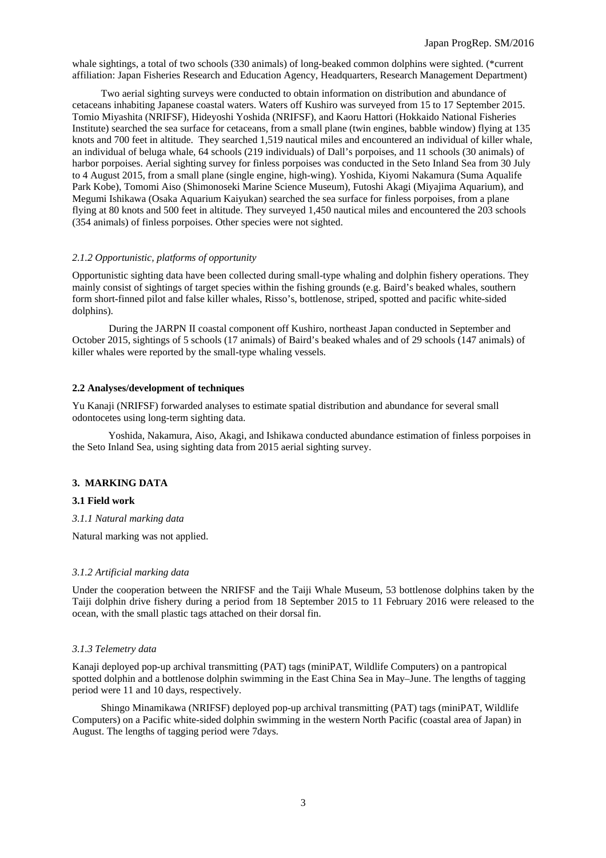whale sightings, a total of two schools (330 animals) of long-beaked common dolphins were sighted. (\*current affiliation: Japan Fisheries Research and Education Agency, Headquarters, Research Management Department)

 Two aerial sighting surveys were conducted to obtain information on distribution and abundance of cetaceans inhabiting Japanese coastal waters. Waters off Kushiro was surveyed from 15 to 17 September 2015. Tomio Miyashita (NRIFSF), Hideyoshi Yoshida (NRIFSF), and Kaoru Hattori (Hokkaido National Fisheries Institute) searched the sea surface for cetaceans, from a small plane (twin engines, babble window) flying at 135 knots and 700 feet in altitude. They searched 1,519 nautical miles and encountered an individual of killer whale, an individual of beluga whale, 64 schools (219 individuals) of Dall's porpoises, and 11 schools (30 animals) of harbor porpoises. Aerial sighting survey for finless porpoises was conducted in the Seto Inland Sea from 30 July to 4 August 2015, from a small plane (single engine, high-wing). Yoshida, Kiyomi Nakamura (Suma Aqualife Park Kobe), Tomomi Aiso (Shimonoseki Marine Science Museum), Futoshi Akagi (Miyajima Aquarium), and Megumi Ishikawa (Osaka Aquarium Kaiyukan) searched the sea surface for finless porpoises, from a plane flying at 80 knots and 500 feet in altitude. They surveyed 1,450 nautical miles and encountered the 203 schools (354 animals) of finless porpoises. Other species were not sighted.

#### *2.1.2 Opportunistic, platforms of opportunity*

Opportunistic sighting data have been collected during small-type whaling and dolphin fishery operations. They mainly consist of sightings of target species within the fishing grounds (e.g. Baird's beaked whales, southern form short-finned pilot and false killer whales, Risso's, bottlenose, striped, spotted and pacific white-sided dolphins).

During the JARPN II coastal component off Kushiro, northeast Japan conducted in September and October 2015, sightings of 5 schools (17 animals) of Baird's beaked whales and of 29 schools (147 animals) of killer whales were reported by the small-type whaling vessels.

#### **2.2 Analyses/development of techniques**

Yu Kanaji (NRIFSF) forwarded analyses to estimate spatial distribution and abundance for several small odontocetes using long-term sighting data.

Yoshida, Nakamura, Aiso, Akagi, and Ishikawa conducted abundance estimation of finless porpoises in the Seto Inland Sea, using sighting data from 2015 aerial sighting survey.

#### **3. MARKING DATA**

#### **3.1 Field work**

*3.1.1 Natural marking data* 

Natural marking was not applied.

#### *3.1.2 Artificial marking data*

Under the cooperation between the NRIFSF and the Taiji Whale Museum, 53 bottlenose dolphins taken by the Taiji dolphin drive fishery during a period from 18 September 2015 to 11 February 2016 were released to the ocean, with the small plastic tags attached on their dorsal fin.

#### *3.1.3 Telemetry data*

Kanaji deployed pop-up archival transmitting (PAT) tags (miniPAT, Wildlife Computers) on a pantropical spotted dolphin and a bottlenose dolphin swimming in the East China Sea in May–June. The lengths of tagging period were 11 and 10 days, respectively.

 Shingo Minamikawa (NRIFSF) deployed pop-up archival transmitting (PAT) tags (miniPAT, Wildlife Computers) on a Pacific white-sided dolphin swimming in the western North Pacific (coastal area of Japan) in August. The lengths of tagging period were 7days.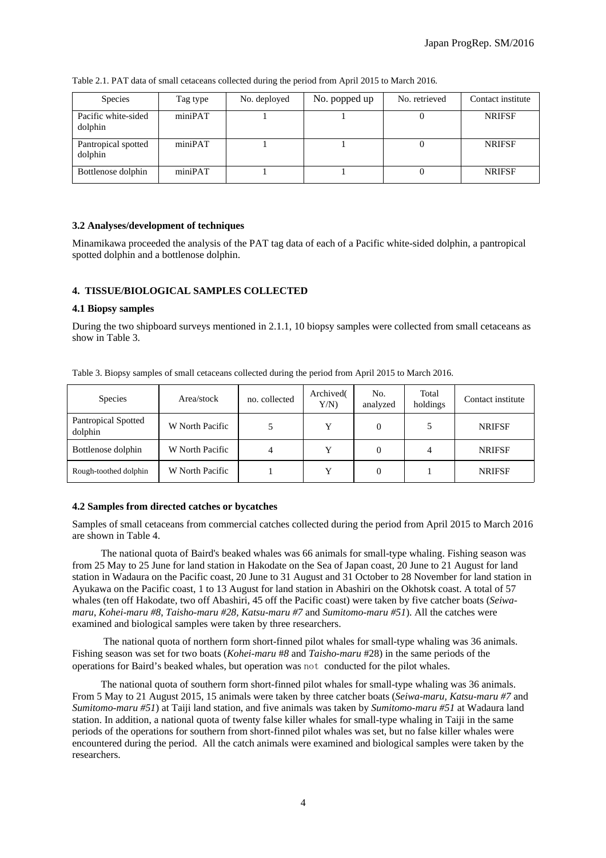| <b>Species</b>                 | Tag type | No. deployed | No. popped up | No. retrieved | Contact institute |
|--------------------------------|----------|--------------|---------------|---------------|-------------------|
| Pacific white-sided<br>dolphin | miniPAT  |              |               |               | <b>NRIFSF</b>     |
| Pantropical spotted<br>dolphin | miniPAT  |              |               |               | <b>NRIFSF</b>     |
| Bottlenose dolphin             | miniPAT  |              |               |               | <b>NRIFSF</b>     |

Table 2.1. PAT data of small cetaceans collected during the period from April 2015 to March 2016.

#### **3.2 Analyses/development of techniques**

Minamikawa proceeded the analysis of the PAT tag data of each of a Pacific white-sided dolphin, a pantropical spotted dolphin and a bottlenose dolphin.

#### **4. TISSUE/BIOLOGICAL SAMPLES COLLECTED**

#### **4.1 Biopsy samples**

During the two shipboard surveys mentioned in 2.1.1, 10 biopsy samples were collected from small cetaceans as show in Table 3.

| Species                        | Area/stock      | no. collected | Archived(<br>Y/N | No.<br>analyzed | Total<br>holdings | Contact institute |
|--------------------------------|-----------------|---------------|------------------|-----------------|-------------------|-------------------|
| Pantropical Spotted<br>dolphin | W North Pacific |               | v                | $\Omega$        | 5                 | <b>NRIFSF</b>     |
| Bottlenose dolphin             | W North Pacific | 4             | v                | $\Omega$        | 4                 | <b>NRIFSF</b>     |
| Rough-toothed dolphin          | W North Pacific |               | v                | $\theta$        |                   | <b>NRIFSF</b>     |

Table 3. Biopsy samples of small cetaceans collected during the period from April 2015 to March 2016.

#### **4.2 Samples from directed catches or bycatches**

Samples of small cetaceans from commercial catches collected during the period from April 2015 to March 2016 are shown in Table 4.

 The national quota of Baird's beaked whales was 66 animals for small-type whaling. Fishing season was from 25 May to 25 June for land station in Hakodate on the Sea of Japan coast, 20 June to 21 August for land station in Wadaura on the Pacific coast, 20 June to 31 August and 31 October to 28 November for land station in Ayukawa on the Pacific coast, 1 to 13 August for land station in Abashiri on the Okhotsk coast. A total of 57 whales (ten off Hakodate, two off Abashiri, 45 off the Pacific coast) were taken by five catcher boats (*Seiwamaru*, *Kohei-maru #8*, *Taisho-maru #28, Katsu-maru #7* and *Sumitomo-maru #51*). All the catches were examined and biological samples were taken by three researchers.

 The national quota of northern form short-finned pilot whales for small-type whaling was 36 animals. Fishing season was set for two boats (*Kohei-maru* #*8* and *Taisho-maru* #28) in the same periods of the operations for Baird's beaked whales, but operation was not conducted for the pilot whales.

 The national quota of southern form short-finned pilot whales for small-type whaling was 36 animals. From 5 May to 21 August 2015, 15 animals were taken by three catcher boats (*Seiwa-maru, Katsu-maru #7* and *Sumitomo-maru #51*) at Taiji land station, and five animals was taken by *Sumitomo-maru #51* at Wadaura land station. In addition, a national quota of twenty false killer whales for small-type whaling in Taiji in the same periods of the operations for southern from short-finned pilot whales was set, but no false killer whales were encountered during the period. All the catch animals were examined and biological samples were taken by the researchers.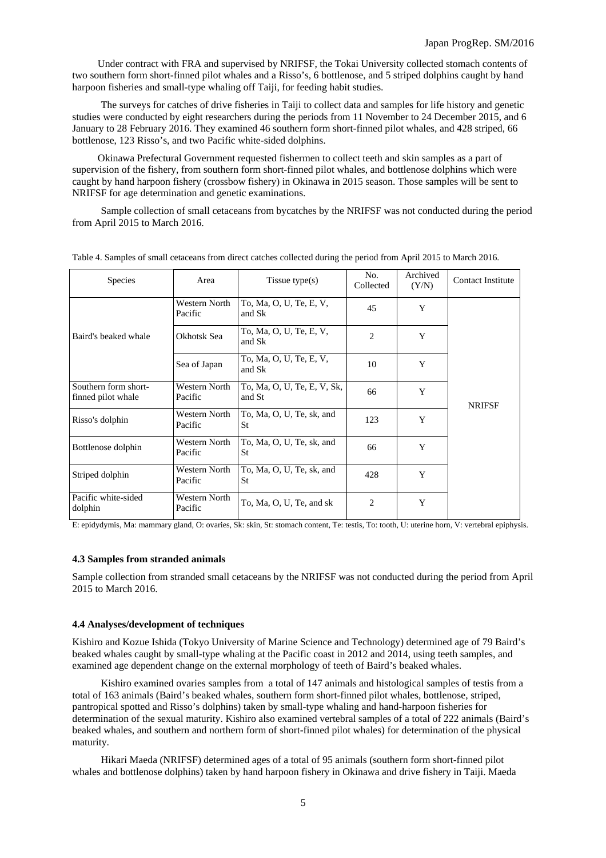Under contract with FRA and supervised by NRIFSF, the Tokai University collected stomach contents of two southern form short-finned pilot whales and a Risso's, 6 bottlenose, and 5 striped dolphins caught by hand harpoon fisheries and small-type whaling off Taiji, for feeding habit studies.

 The surveys for catches of drive fisheries in Taiji to collect data and samples for life history and genetic studies were conducted by eight researchers during the periods from 11 November to 24 December 2015, and 6 January to 28 February 2016. They examined 46 southern form short-finned pilot whales, and 428 striped, 66 bottlenose, 123 Risso's, and two Pacific white-sided dolphins.

Okinawa Prefectural Government requested fishermen to collect teeth and skin samples as a part of supervision of the fishery, from southern form short-finned pilot whales, and bottlenose dolphins which were caught by hand harpoon fishery (crossbow fishery) in Okinawa in 2015 season. Those samples will be sent to NRIFSF for age determination and genetic examinations.

 Sample collection of small cetaceans from bycatches by the NRIFSF was not conducted during the period from April 2015 to March 2016.

| Species                                    | Area                     | Tissue type $(s)$                     | No.<br>Collected | Archived<br>(Y/N) | <b>Contact Institute</b> |
|--------------------------------------------|--------------------------|---------------------------------------|------------------|-------------------|--------------------------|
|                                            | Western North<br>Pacific | To, Ma, O, U, Te, E, V,<br>and Sk     | 45               | Y                 |                          |
| Baird's beaked whale                       | Okhotsk Sea              | To, Ma, O, U, Te, E, V,<br>and Sk     | $\overline{c}$   | Y                 |                          |
|                                            | Sea of Japan             | To, Ma, O, U, Te, E, V,<br>and Sk     | 10               | Y                 |                          |
| Southern form short-<br>finned pilot whale | Western North<br>Pacific | To, Ma, O, U, Te, E, V, Sk,<br>and St | 66               | Y                 | <b>NRIFSF</b>            |
| Risso's dolphin                            | Western North<br>Pacific | To, Ma, O, U, Te, sk, and<br>St       | 123              | Y                 |                          |
| Bottlenose dolphin                         | Western North<br>Pacific | To, Ma, O, U, Te, sk, and<br>St       | 66               | Y                 |                          |
| Striped dolphin                            | Western North<br>Pacific | To, Ma, O, U, Te, sk, and<br>St       | 428              | Y                 |                          |
| Pacific white-sided<br>dolphin             | Western North<br>Pacific | To, Ma, O, U, Te, and sk              | 2                | Y                 |                          |

Table 4. Samples of small cetaceans from direct catches collected during the period from April 2015 to March 2016.

E: epidydymis, Ma: mammary gland, O: ovaries, Sk: skin, St: stomach content, Te: testis, To: tooth, U: uterine horn, V: vertebral epiphysis.

#### **4.3 Samples from stranded animals**

Sample collection from stranded small cetaceans by the NRIFSF was not conducted during the period from April 2015 to March 2016.

#### **4.4 Analyses/development of techniques**

Kishiro and Kozue Ishida (Tokyo University of Marine Science and Technology) determined age of 79 Baird's beaked whales caught by small-type whaling at the Pacific coast in 2012 and 2014, using teeth samples, and examined age dependent change on the external morphology of teeth of Baird's beaked whales.

 Kishiro examined ovaries samples from a total of 147 animals and histological samples of testis from a total of 163 animals (Baird's beaked whales, southern form short-finned pilot whales, bottlenose, striped, pantropical spotted and Risso's dolphins) taken by small-type whaling and hand-harpoon fisheries for determination of the sexual maturity. Kishiro also examined vertebral samples of a total of 222 animals (Baird's beaked whales, and southern and northern form of short-finned pilot whales) for determination of the physical maturity.

 Hikari Maeda (NRIFSF) determined ages of a total of 95 animals (southern form short-finned pilot whales and bottlenose dolphins) taken by hand harpoon fishery in Okinawa and drive fishery in Taiji. Maeda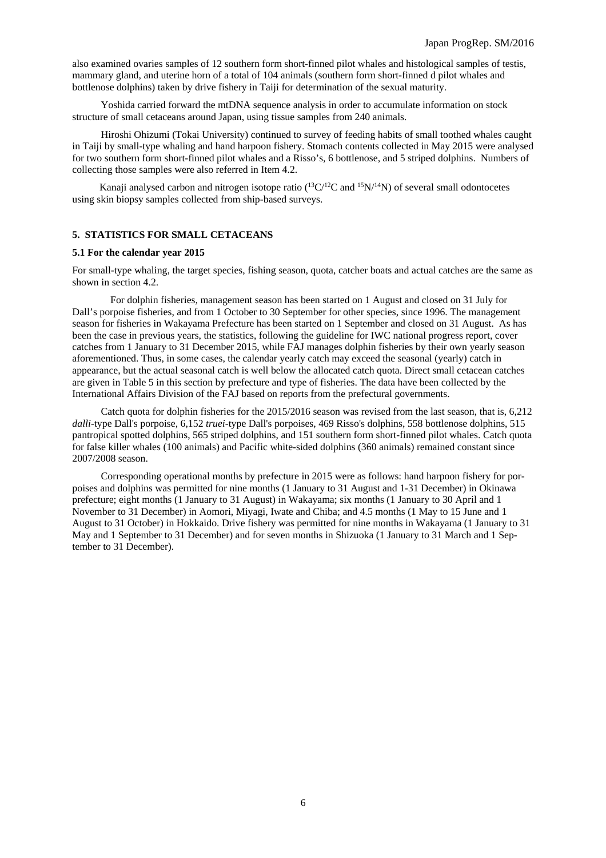also examined ovaries samples of 12 southern form short-finned pilot whales and histological samples of testis, mammary gland, and uterine horn of a total of 104 animals (southern form short-finned d pilot whales and bottlenose dolphins) taken by drive fishery in Taiji for determination of the sexual maturity.

 Yoshida carried forward the mtDNA sequence analysis in order to accumulate information on stock structure of small cetaceans around Japan, using tissue samples from 240 animals.

 Hiroshi Ohizumi (Tokai University) continued to survey of feeding habits of small toothed whales caught in Taiji by small-type whaling and hand harpoon fishery. Stomach contents collected in May 2015 were analysed for two southern form short-finned pilot whales and a Risso's, 6 bottlenose, and 5 striped dolphins. Numbers of collecting those samples were also referred in Item 4.2.

Kanaji analysed carbon and nitrogen isotope ratio  $(^{13}C^{12}C$  and  $^{15}N^{14}N$ ) of several small odontocetes using skin biopsy samples collected from ship-based surveys.

#### **5. STATISTICS FOR SMALL CETACEANS**

#### **5.1 For the calendar year 2015**

For small-type whaling, the target species, fishing season, quota, catcher boats and actual catches are the same as shown in section 4.2.

 For dolphin fisheries, management season has been started on 1 August and closed on 31 July for Dall's porpoise fisheries, and from 1 October to 30 September for other species, since 1996. The management season for fisheries in Wakayama Prefecture has been started on 1 September and closed on 31 August. As has been the case in previous years, the statistics, following the guideline for IWC national progress report, cover catches from 1 January to 31 December 2015, while FAJ manages dolphin fisheries by their own yearly season aforementioned. Thus, in some cases, the calendar yearly catch may exceed the seasonal (yearly) catch in appearance, but the actual seasonal catch is well below the allocated catch quota. Direct small cetacean catches are given in Table 5 in this section by prefecture and type of fisheries. The data have been collected by the International Affairs Division of the FAJ based on reports from the prefectural governments.

 Catch quota for dolphin fisheries for the 2015/2016 season was revised from the last season, that is, 6,212 *dalli*-type Dall's porpoise, 6,152 *truei*-type Dall's porpoises, 469 Risso's dolphins, 558 bottlenose dolphins, 515 pantropical spotted dolphins, 565 striped dolphins, and 151 southern form short-finned pilot whales. Catch quota for false killer whales (100 animals) and Pacific white-sided dolphins (360 animals) remained constant since 2007/2008 season.

 Corresponding operational months by prefecture in 2015 were as follows: hand harpoon fishery for porpoises and dolphins was permitted for nine months (1 January to 31 August and 1-31 December) in Okinawa prefecture; eight months (1 January to 31 August) in Wakayama; six months (1 January to 30 April and 1 November to 31 December) in Aomori, Miyagi, Iwate and Chiba; and 4.5 months (1 May to 15 June and 1 August to 31 October) in Hokkaido. Drive fishery was permitted for nine months in Wakayama (1 January to 31 May and 1 September to 31 December) and for seven months in Shizuoka (1 January to 31 March and 1 September to 31 December).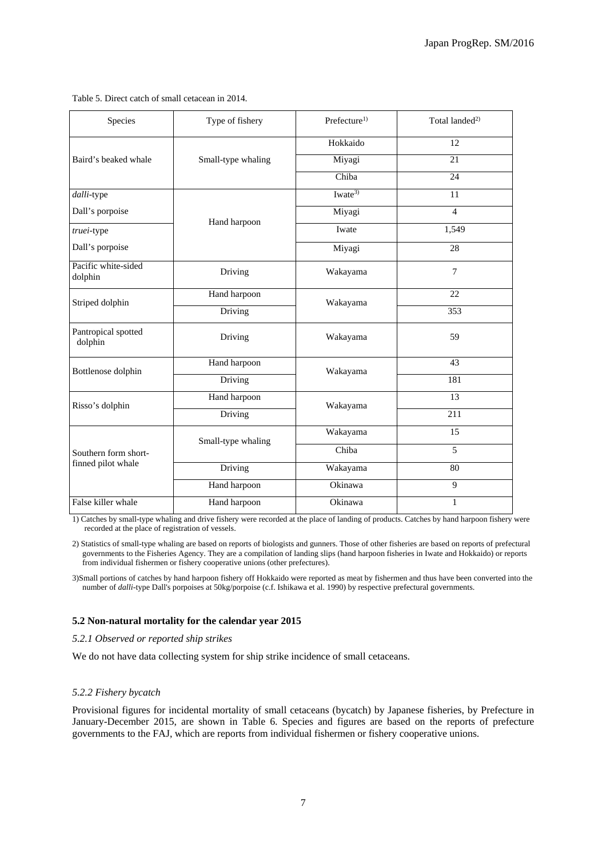| Species                        | Type of fishery    | Prefecture <sup>1)</sup> | Total landed <sup>2)</sup> |
|--------------------------------|--------------------|--------------------------|----------------------------|
|                                |                    | Hokkaido                 | 12                         |
| Baird's beaked whale           | Small-type whaling | Miyagi                   | 21                         |
|                                |                    | Chiba                    | 24                         |
| dalli-type                     |                    | Iwate <sup>3)</sup>      | 11                         |
| Dall's porpoise                |                    | Miyagi                   | $\overline{4}$             |
| truei-type                     | Hand harpoon       | Iwate                    | 1,549                      |
| Dall's porpoise                |                    | Miyagi                   | 28                         |
| Pacific white-sided<br>dolphin | Driving            | Wakayama                 | $\tau$                     |
| Striped dolphin                | Hand harpoon       | Wakayama                 | 22                         |
|                                | Driving            |                          | 353                        |
| Pantropical spotted<br>dolphin | Driving            | Wakayama                 | 59                         |
| Bottlenose dolphin             | Hand harpoon       | Wakayama                 | 43                         |
|                                | Driving            |                          | 181                        |
| Risso's dolphin                | Hand harpoon       | Wakayama                 | 13                         |
|                                | Driving            |                          | 211                        |
|                                | Small-type whaling | Wakayama                 | 15                         |
| Southern form short-           |                    | Chiba                    | $\overline{5}$             |
| finned pilot whale             | Driving            | Wakayama                 | 80                         |
|                                | Hand harpoon       | Okinawa                  | $\overline{9}$             |
| False killer whale             | Hand harpoon       | Okinawa                  | 1                          |

Table 5. Direct catch of small cetacean in 2014.

1) Catches by small-type whaling and drive fishery were recorded at the place of landing of products. Catches by hand harpoon fishery were recorded at the place of registration of vessels.

2) Statistics of small-type whaling are based on reports of biologists and gunners. Those of other fisheries are based on reports of prefectural governments to the Fisheries Agency. They are a compilation of landing slips (hand harpoon fisheries in Iwate and Hokkaido) or reports from individual fishermen or fishery cooperative unions (other prefectures).

3)Small portions of catches by hand harpoon fishery off Hokkaido were reported as meat by fishermen and thus have been converted into the number of *dalli*-type Dall's porpoises at 50kg/porpoise (c.f. Ishikawa et al. 1990) by respective prefectural governments.

#### **5.2 Non-natural mortality for the calendar year 2015**

#### *5.2.1 Observed or reported ship strikes*

We do not have data collecting system for ship strike incidence of small cetaceans.

#### *5.2.2 Fishery bycatch*

Provisional figures for incidental mortality of small cetaceans (bycatch) by Japanese fisheries, by Prefecture in January-December 2015, are shown in Table 6. Species and figures are based on the reports of prefecture governments to the FAJ, which are reports from individual fishermen or fishery cooperative unions.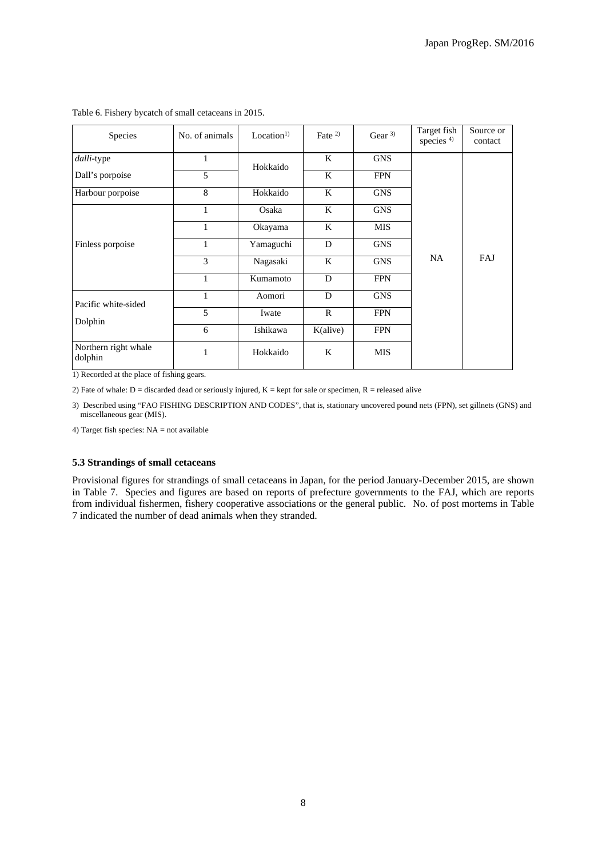| Species                                                                                     | No. of animals | Location <sup>1</sup> | Fate <sup>2)</sup> | Gear $3)$  | Target fish<br>species <sup>4)</sup> | Source or<br>contact |
|---------------------------------------------------------------------------------------------|----------------|-----------------------|--------------------|------------|--------------------------------------|----------------------|
| dalli-type                                                                                  | 1              | Hokkaido              | K                  | <b>GNS</b> |                                      |                      |
| Dall's porpoise                                                                             | 5              |                       | K                  | <b>FPN</b> |                                      |                      |
| Harbour porpoise                                                                            | 8              | Hokkaido              | K                  | <b>GNS</b> |                                      |                      |
|                                                                                             | 1              | Osaka                 | K                  | <b>GNS</b> |                                      |                      |
|                                                                                             | $\mathbf{1}$   | Okayama               | K                  | <b>MIS</b> |                                      |                      |
| Finless porpoise                                                                            | $\mathbf{1}$   | Yamaguchi             | D                  | <b>GNS</b> |                                      |                      |
|                                                                                             | 3              | Nagasaki              | K                  | <b>GNS</b> | <b>NA</b>                            | FAJ                  |
|                                                                                             | $\mathbf{1}$   | Kumamoto              | D                  | <b>FPN</b> |                                      |                      |
| Pacific white-sided                                                                         | 1              | Aomori                | D                  | <b>GNS</b> |                                      |                      |
| Dolphin                                                                                     | 5              | Iwate                 | $\mathbb{R}$       | <b>FPN</b> |                                      |                      |
|                                                                                             | 6              | Ishikawa              | K(alive)           | <b>FPN</b> |                                      |                      |
| Northern right whale<br>dolphin<br>$\sim$ $\sim$ $\sim$<br>$-45$ m $-1$ $-1$ $-1$ $-1$ $-1$ | 1              | Hokkaido              | K                  | <b>MIS</b> |                                      |                      |

Table 6. Fishery bycatch of small cetaceans in 2015.

1) Recorded at the place of fishing gears.

2) Fate of whale:  $D =$  discarded dead or seriously injured,  $K =$  kept for sale or specimen,  $R =$  released alive

3) Described using "FAO FISHING DESCRIPTION AND CODES", that is, stationary uncovered pound nets (FPN), set gillnets (GNS) and miscellaneous gear (MIS).

4) Target fish species: NA = not available

#### **5.3 Strandings of small cetaceans**

Provisional figures for strandings of small cetaceans in Japan, for the period January-December 2015, are shown in Table 7. Species and figures are based on reports of prefecture governments to the FAJ, which are reports from individual fishermen, fishery cooperative associations or the general public. No. of post mortems in Table 7 indicated the number of dead animals when they stranded.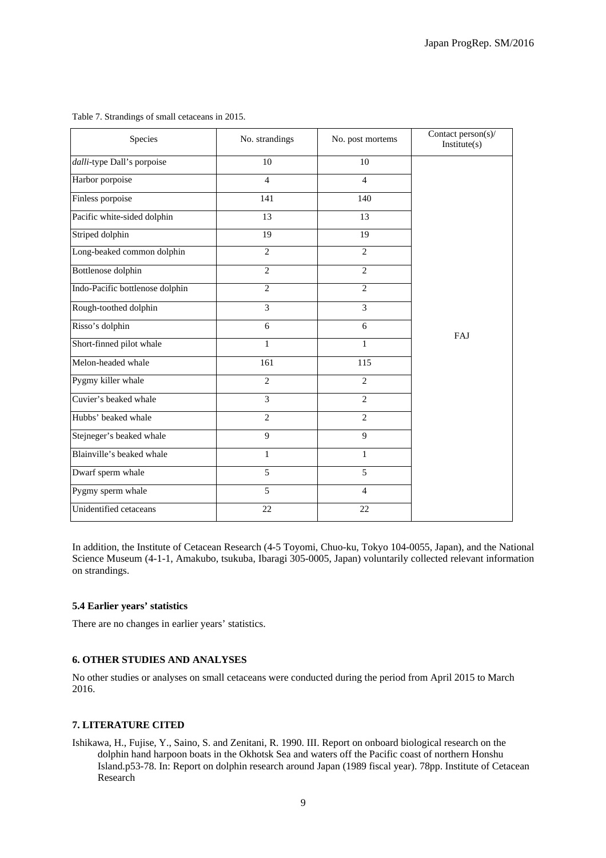| Species                         | No. strandings | No. post mortems | Contact person(s)/<br>Institute(s) |
|---------------------------------|----------------|------------------|------------------------------------|
| dalli-type Dall's porpoise      | 10             | 10               |                                    |
| Harbor porpoise                 | $\overline{4}$ | $\overline{4}$   |                                    |
| Finless porpoise                | 141            | 140              |                                    |
| Pacific white-sided dolphin     | 13             | 13               |                                    |
| Striped dolphin                 | 19             | 19               |                                    |
| Long-beaked common dolphin      | $\overline{2}$ | $\overline{2}$   |                                    |
| Bottlenose dolphin              | $\overline{2}$ | $\overline{2}$   |                                    |
| Indo-Pacific bottlenose dolphin | 2              | 2                |                                    |
| Rough-toothed dolphin           | 3              | 3                |                                    |
| Risso's dolphin                 | 6              | 6                | FAJ                                |
| Short-finned pilot whale        | $\mathbf{1}$   | 1                |                                    |
| Melon-headed whale              | 161            | 115              |                                    |
| Pygmy killer whale              | $\overline{2}$ | $\overline{2}$   |                                    |
| Cuvier's beaked whale           | 3              | $\overline{2}$   |                                    |
| Hubbs' beaked whale             | $\overline{2}$ | $\overline{2}$   |                                    |
| Stejneger's beaked whale        | 9              | 9                |                                    |
| Blainville's beaked whale       | $\mathbf{1}$   | $\mathbf{1}$     |                                    |
| Dwarf sperm whale               | 5              | 5                |                                    |
| Pygmy sperm whale               | $\overline{5}$ | $\overline{4}$   |                                    |
| Unidentified cetaceans          | 22             | 22               |                                    |

Table 7. Strandings of small cetaceans in 2015.

 In addition, the Institute of Cetacean Research (4-5 Toyomi, Chuo-ku, Tokyo 104-0055, Japan), and the National Science Museum (4-1-1, Amakubo, tsukuba, Ibaragi 305-0005, Japan) voluntarily collected relevant information on strandings.

#### **5.4 Earlier years' statistics**

There are no changes in earlier years' statistics.

#### **6. OTHER STUDIES AND ANALYSES**

No other studies or analyses on small cetaceans were conducted during the period from April 2015 to March 2016.

## **7. LITERATURE CITED**

Ishikawa, H., Fujise, Y., Saino, S. and Zenitani, R. 1990. III. Report on onboard biological research on the dolphin hand harpoon boats in the Okhotsk Sea and waters off the Pacific coast of northern Honshu Island.p53-78. In: Report on dolphin research around Japan (1989 fiscal year). 78pp. Institute of Cetacean Research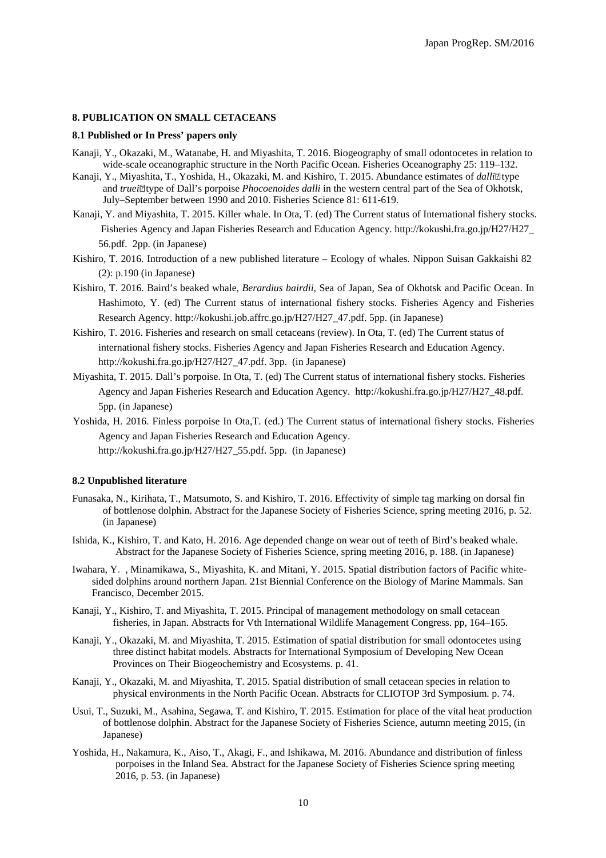#### **8. PUBLICATION ON SMALL CETACEANS**

#### **8.1 Published or In Press' papers only**

- Kanaji, Y., Okazaki, M., Watanabe, H. and Miyashita, T. 2016. Biogeography of small odontocetes in relation to wide-scale oceanographic structure in the North Pacific Ocean. Fisheries Oceanography 25: 119–132.
- Kanaji, Y., Miyashita, T., Yoshida, H., Okazaki, M. and Kishiro, T. 2015. Abundance estimates of *dalli*type and *truei*<sup>[2]</sup>type of Dall's porpoise *Phocoenoides dalli* in the western central part of the Sea of Okhotsk, July–September between 1990 and 2010. Fisheries Science 81: 611-619.
- Kanaji, Y. and Miyashita, T. 2015. Killer whale. In Ota, T. (ed) The Current status of International fishery stocks. Fisheries Agency and Japan Fisheries Research and Education Agency. http://kokushi.fra.go.jp/H27/H27\_ 56.pdf. 2pp. (in Japanese)
- Kishiro, T. 2016. Introduction of a new published literature Ecology of whales. Nippon Suisan Gakkaishi 82 (2): p.190 (in Japanese)
- Kishiro, T. 2016. Baird's beaked whale, *Berardius bairdii,* Sea of Japan, Sea of Okhotsk and Pacific Ocean. In Hashimoto, Y. (ed) The Current status of international fishery stocks. Fisheries Agency and Fisheries Research Agency. http://kokushi.job.affrc.go.jp/H27/H27\_47.pdf. 5pp. (in Japanese)
- Kishiro, T. 2016. Fisheries and research on small cetaceans (review). In Ota, T. (ed) The Current status of international fishery stocks. Fisheries Agency and Japan Fisheries Research and Education Agency. http://kokushi.fra.go.jp/H27/H27\_47.pdf. 3pp. (in Japanese)
- Miyashita, T. 2015. Dall's porpoise. In Ota, T. (ed) The Current status of international fishery stocks. Fisheries Agency and Japan Fisheries Research and Education Agency. http://kokushi.fra.go.jp/H27/H27\_48.pdf. 5pp. (in Japanese)
- Yoshida, H. 2016. Finless porpoise In Ota,T. (ed.) The Current status of international fishery stocks. Fisheries Agency and Japan Fisheries Research and Education Agency. http://kokushi.fra.go.jp/H27/H27\_55.pdf. 5pp. (in Japanese)

#### **8.2 Unpublished literature**

- Funasaka, N., Kirihata, T., Matsumoto, S. and Kishiro, T. 2016. Effectivity of simple tag marking on dorsal fin of bottlenose dolphin. Abstract for the Japanese Society of Fisheries Science, spring meeting 2016, p. 52. (in Japanese)
- Ishida, K., Kishiro, T. and Kato, H. 2016. Age depended change on wear out of teeth of Bird's beaked whale. Abstract for the Japanese Society of Fisheries Science, spring meeting 2016, p. 188. (in Japanese)
- Iwahara, Y., Minamikawa, S., Miyashita, K. and Mitani, Y. 2015. Spatial distribution factors of Pacific whitesided dolphins around northern Japan. 21st Biennial Conference on the Biology of Marine Mammals. San Francisco, December 2015.
- Kanaji, Y., Kishiro, T. and Miyashita, T. 2015. Principal of management methodology on small cetacean fisheries, in Japan. Abstracts for Vth International Wildlife Management Congress. pp, 164–165.
- Kanaji, Y., Okazaki, M. and Miyashita, T. 2015. Estimation of spatial distribution for small odontocetes using three distinct habitat models. Abstracts for International Symposium of Developing New Ocean Provinces on Their Biogeochemistry and Ecosystems. p. 41.
- Kanaji, Y., Okazaki, M. and Miyashita, T. 2015. Spatial distribution of small cetacean species in relation to physical environments in the North Pacific Ocean. Abstracts for CLIOTOP 3rd Symposium. p. 74.
- Usui, T., Suzuki, M., Asahina, Segawa, T. and Kishiro, T. 2015. Estimation for place of the vital heat production of bottlenose dolphin. Abstract for the Japanese Society of Fisheries Science, autumn meeting 2015, (in Japanese)
- Yoshida, H., Nakamura, K., Aiso, T., Akagi, F., and Ishikawa, M. 2016. Abundance and distribution of finless porpoises in the Inland Sea. Abstract for the Japanese Society of Fisheries Science spring meeting 2016, p. 53. (in Japanese)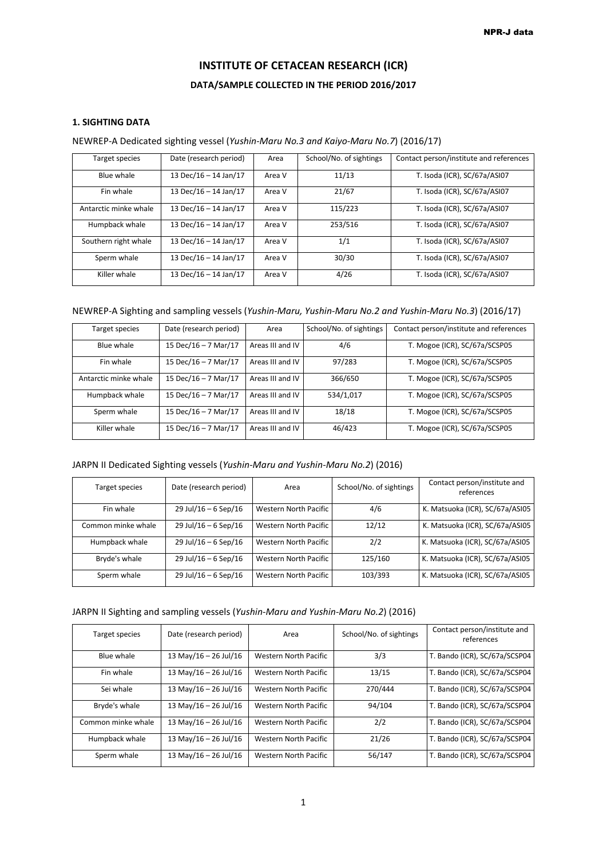**INSTITUTE OF CETACEAN RESEARCH (ICR)**

**DATA/SAMPLE COLLECTED IN THE PERIOD 2016/2017** 

#### **1. SIGHTING DATA**

## NEWREP-A Dedicated sighting vessel (*Yushin-Maru No.3 and Kaiyo-Maru No.7*) (2016/17)

| Target species        | Date (research period) | Area   | School/No. of sightings | Contact person/institute and references |
|-----------------------|------------------------|--------|-------------------------|-----------------------------------------|
| Blue whale            | 13 Dec/16 - 14 Jan/17  | Area V | 11/13                   | T. Isoda (ICR), SC/67a/ASI07            |
| Fin whale             | 13 Dec/16 - 14 Jan/17  | Area V | 21/67                   | T. Isoda (ICR), SC/67a/ASI07            |
| Antarctic minke whale | 13 Dec/16 - 14 Jan/17  | Area V | 115/223                 | T. Isoda (ICR), SC/67a/ASI07            |
| Humpback whale        | 13 Dec/16 - 14 Jan/17  | Area V | 253/516                 | T. Isoda (ICR), SC/67a/ASI07            |
| Southern right whale  | 13 Dec/16 - 14 Jan/17  | Area V | 1/1                     | T. Isoda (ICR), SC/67a/ASI07            |
| Sperm whale           | 13 Dec/16 - 14 Jan/17  | Area V | 30/30                   | T. Isoda (ICR), SC/67a/ASI07            |
| Killer whale          | 13 Dec/16 - 14 Jan/17  | Area V | 4/26                    | T. Isoda (ICR), SC/67a/ASI07            |

#### NEWREP-A Sighting and sampling vessels (*Yushin-Maru, Yushin-Maru No.2 and Yushin-Maru No.3*) (2016/17)

| Target species        | Date (research period) | Area             | School/No. of sightings | Contact person/institute and references |
|-----------------------|------------------------|------------------|-------------------------|-----------------------------------------|
| Blue whale            | 15 Dec/16 - 7 Mar/17   | Areas III and IV | 4/6                     | T. Mogoe (ICR), SC/67a/SCSP05           |
| Fin whale             | 15 Dec/16 - 7 Mar/17   | Areas III and IV | 97/283                  | T. Mogoe (ICR), SC/67a/SCSP05           |
| Antarctic minke whale | 15 Dec/16 - 7 Mar/17   | Areas III and IV | 366/650                 | T. Mogoe (ICR), SC/67a/SCSP05           |
| Humpback whale        | 15 Dec/16 - 7 Mar/17   | Areas III and IV | 534/1,017               | T. Mogoe (ICR), SC/67a/SCSP05           |
| Sperm whale           | 15 Dec/16 - 7 Mar/17   | Areas III and IV | 18/18                   | T. Mogoe (ICR), SC/67a/SCSP05           |
| Killer whale          | 15 Dec/16 - 7 Mar/17   | Areas III and IV | 46/423                  | T. Mogoe (ICR), SC/67a/SCSP05           |

#### JARPN II Dedicated Sighting vessels (*Yushin-Maru and Yushin-Maru No.2*) (2016)

| Target species     | Date (research period) | Area                  | School/No. of sightings | Contact person/institute and<br>references |
|--------------------|------------------------|-----------------------|-------------------------|--------------------------------------------|
| Fin whale          | 29 Jul/16 - 6 Sep/16   | Western North Pacific | 4/6                     | K. Matsuoka (ICR), SC/67a/ASI05            |
| Common minke whale | 29 Jul/16 - 6 Sep/16   | Western North Pacific | 12/12                   | K. Matsuoka (ICR), SC/67a/ASI05            |
| Humpback whale     | 29 Jul/16 - 6 Sep/16   | Western North Pacific | 2/2                     | K. Matsuoka (ICR), SC/67a/ASI05            |
| Bryde's whale      | 29 Jul/16 - 6 Sep/16   | Western North Pacific | 125/160                 | K. Matsuoka (ICR), SC/67a/ASI05            |
| Sperm whale        | 29 Jul/16 - 6 Sep/16   | Western North Pacific | 103/393                 | K. Matsuoka (ICR), SC/67a/ASI05            |

#### JARPN II Sighting and sampling vessels (*Yushin-Maru and Yushin-Maru No.2*) (2016)

| Target species     | Date (research period) | Area                  | School/No. of sightings | Contact person/institute and<br>references |
|--------------------|------------------------|-----------------------|-------------------------|--------------------------------------------|
| Blue whale         | 13 May/16 - 26 Jul/16  | Western North Pacific | 3/3                     | T. Bando (ICR), SC/67a/SCSP04              |
| Fin whale          | 13 May/16 - 26 Jul/16  | Western North Pacific | 13/15                   | T. Bando (ICR), SC/67a/SCSP04              |
| Sei whale          | 13 May/16 - 26 Jul/16  | Western North Pacific | 270/444                 | T. Bando (ICR), SC/67a/SCSP04              |
| Bryde's whale      | 13 May/16 - 26 Jul/16  | Western North Pacific | 94/104                  | T. Bando (ICR), SC/67a/SCSP04              |
| Common minke whale | 13 May/16 - 26 Jul/16  | Western North Pacific | 2/2                     | T. Bando (ICR), SC/67a/SCSP04              |
| Humpback whale     | 13 May/16 - 26 Jul/16  | Western North Pacific | 21/26                   | T. Bando (ICR), SC/67a/SCSP04              |
| Sperm whale        | 13 May/16 - 26 Jul/16  | Western North Pacific | 56/147                  | T. Bando (ICR), SC/67a/SCSP04              |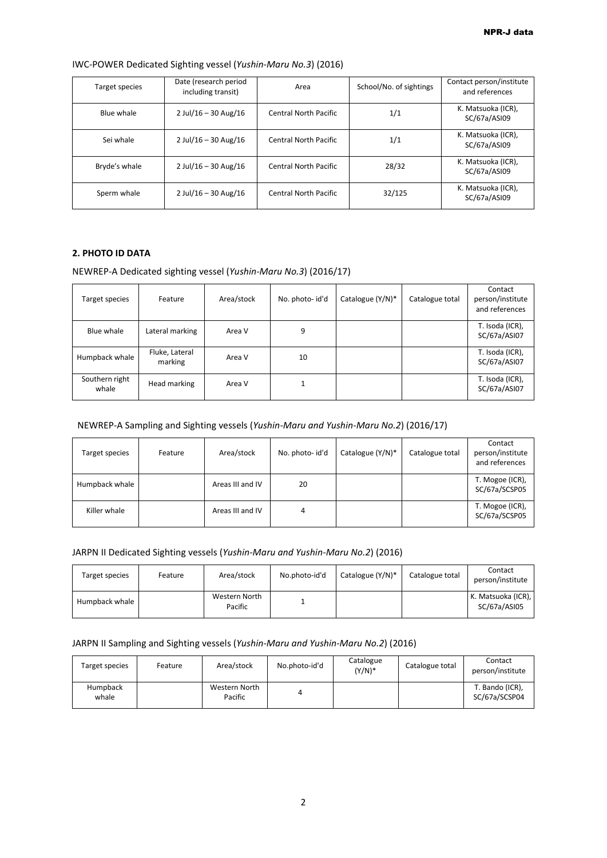| Target species | Date (research period<br>including transit) | Area                         | School/No. of sightings | Contact person/institute<br>and references |
|----------------|---------------------------------------------|------------------------------|-------------------------|--------------------------------------------|
| Blue whale     | $2$ Jul/16 - 30 Aug/16                      | <b>Central North Pacific</b> | 1/1                     | K. Matsuoka (ICR),<br>SC/67a/ASI09         |
| Sei whale      | $2$ Jul/16 - 30 Aug/16                      | <b>Central North Pacific</b> | 1/1                     | K. Matsuoka (ICR),<br>SC/67a/ASI09         |
| Bryde's whale  | $2$ Jul/16 - 30 Aug/16                      | <b>Central North Pacific</b> | 28/32                   | K. Matsuoka (ICR),<br>SC/67a/ASI09         |
| Sperm whale    | $2$ Jul/16 - 30 Aug/16                      | <b>Central North Pacific</b> | 32/125                  | K. Matsuoka (ICR),<br>SC/67a/ASI09         |

## IWC-POWER Dedicated Sighting vessel (*Yushin-Maru No.3*) (2016)

## **2. PHOTO ID DATA**

NEWREP-A Dedicated sighting vessel (*Yushin-Maru No.3*) (2016/17)

| Target species          | Feature                   | Area/stock | No. photo- id'd | Catalogue (Y/N)* | Catalogue total | Contact<br>person/institute<br>and references |
|-------------------------|---------------------------|------------|-----------------|------------------|-----------------|-----------------------------------------------|
| Blue whale              | Lateral marking           | Area V     | 9               |                  |                 | T. Isoda (ICR),<br>SC/67a/ASI07               |
| Humpback whale          | Fluke, Lateral<br>marking | Area V     | 10              |                  |                 | T. Isoda (ICR),<br>SC/67a/ASI07               |
| Southern right<br>whale | Head marking              | Area V     |                 |                  |                 | T. Isoda (ICR),<br>SC/67a/ASI07               |

#### NEWREP-A Sampling and Sighting vessels (*Yushin-Maru and Yushin-Maru No.2*) (2016/17)

| Target species | Feature | Area/stock       | No. photo- id'd | Catalogue (Y/N)* | Catalogue total | Contact<br>person/institute<br>and references |
|----------------|---------|------------------|-----------------|------------------|-----------------|-----------------------------------------------|
| Humpback whale |         | Areas III and IV | 20              |                  |                 | T. Mogoe (ICR),<br>SC/67a/SCSP05              |
| Killer whale   |         | Areas III and IV | 4               |                  |                 | T. Mogoe (ICR),<br>SC/67a/SCSP05              |

## JARPN II Dedicated Sighting vessels (*Yushin-Maru and Yushin-Maru No.2*) (2016)

| Target species | Feature | Area/stock               | No.photo-id'd | Catalogue (Y/N)* | Catalogue total | Contact<br>person/institute        |
|----------------|---------|--------------------------|---------------|------------------|-----------------|------------------------------------|
| Humpback whale |         | Western North<br>Pacific |               |                  |                 | K. Matsuoka (ICR),<br>SC/67a/ASI05 |

#### JARPN II Sampling and Sighting vessels (*Yushin-Maru and Yushin-Maru No.2*) (2016)

| Target species    | Feature | Area/stock               | No.photo-id'd | Catalogue<br>$(Y/N)^*$ | Catalogue total | Contact<br>person/institute      |
|-------------------|---------|--------------------------|---------------|------------------------|-----------------|----------------------------------|
| Humpback<br>whale |         | Western North<br>Pacific |               |                        |                 | T. Bando (ICR),<br>SC/67a/SCSP04 |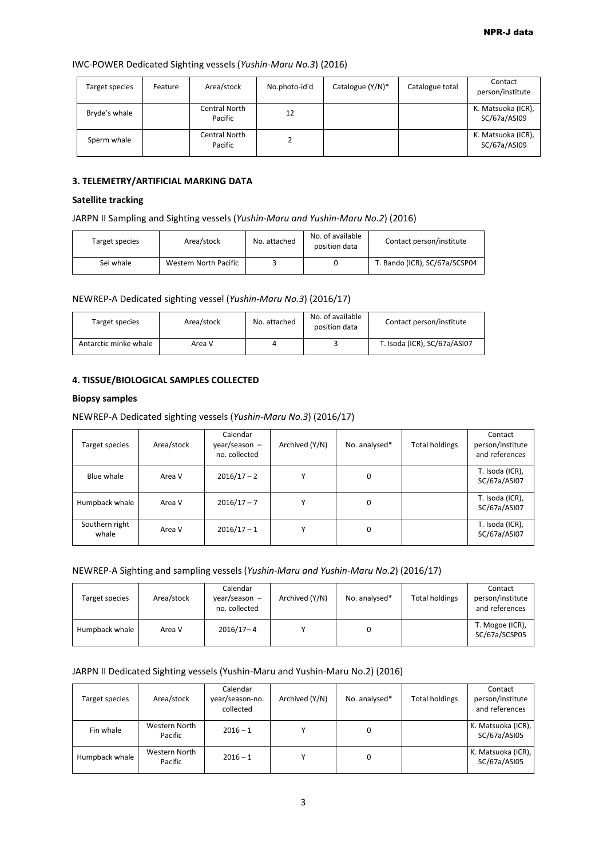## IWC-POWER Dedicated Sighting vessels (*Yushin-Maru No.3*) (2016)

| Target species | Feature | Area/stock               | No.photo-id'd | Catalogue (Y/N)* | Catalogue total | Contact<br>person/institute        |
|----------------|---------|--------------------------|---------------|------------------|-----------------|------------------------------------|
| Bryde's whale  |         | Central North<br>Pacific | 12            |                  |                 | K. Matsuoka (ICR),<br>SC/67a/ASI09 |
| Sperm whale    |         | Central North<br>Pacific | ∠             |                  |                 | K. Matsuoka (ICR),<br>SC/67a/ASI09 |

## **3. TELEMETRY/ARTIFICIAL MARKING DATA**

#### **Satellite tracking**

JARPN II Sampling and Sighting vessels (*Yushin-Maru and Yushin-Maru No.2*) (2016)

| Target species                     | Area/stock | No. attached | No. of available<br>position data | Contact person/institute      |
|------------------------------------|------------|--------------|-----------------------------------|-------------------------------|
| Western North Pacific<br>Sei whale |            |              |                                   | T. Bando (ICR), SC/67a/SCSP04 |

#### NEWREP-A Dedicated sighting vessel (*Yushin-Maru No.3*) (2016/17)

| Target species        | Area/stock | No. attached | No. of available<br>position data | Contact person/institute     |
|-----------------------|------------|--------------|-----------------------------------|------------------------------|
| Antarctic minke whale | Area V     |              |                                   | T. Isoda (ICR), SC/67a/ASI07 |

#### **4. TISSUE/BIOLOGICAL SAMPLES COLLECTED**

#### **Biopsy samples**

#### NEWREP-A Dedicated sighting vessels (*Yushin-Maru No.3*) (2016/17)

| Target species          | Area/stock | Calendar<br>year/season $-$<br>no. collected | Archived (Y/N) | No. analysed* | <b>Total holdings</b> | Contact<br>person/institute<br>and references |
|-------------------------|------------|----------------------------------------------|----------------|---------------|-----------------------|-----------------------------------------------|
| Blue whale              | Area V     | $2016/17 - 2$                                | v              | 0             |                       | T. Isoda (ICR),<br>SC/67a/ASI07               |
| Humpback whale          | Area V     | $2016/17 - 7$                                |                | 0             |                       | T. Isoda (ICR),<br>SC/67a/ASI07               |
| Southern right<br>whale | Area V     | $2016/17 - 1$                                |                | 0             |                       | T. Isoda (ICR),<br>SC/67a/ASI07               |

#### NEWREP-A Sighting and sampling vessels (*Yushin-Maru and Yushin-Maru No.2*) (2016/17)

| Target species | Area/stock | Calendar<br>$year/season$ –<br>no. collected | Archived (Y/N) | No. analysed* | <b>Total holdings</b> | Contact<br>person/institute<br>and references |
|----------------|------------|----------------------------------------------|----------------|---------------|-----------------------|-----------------------------------------------|
| Humpback whale | Area V     | $2016/17 - 4$                                |                |               |                       | T. Mogoe (ICR),<br>SC/67a/SCSP05              |

#### JARPN II Dedicated Sighting vessels (Yushin-Maru and Yushin-Maru No.2) (2016)

| Target species | Area/stock               | Calendar<br>year/season-no.<br>collected | Archived (Y/N) | No. analysed* | <b>Total holdings</b> | Contact<br>person/institute<br>and references |
|----------------|--------------------------|------------------------------------------|----------------|---------------|-----------------------|-----------------------------------------------|
| Fin whale      | Western North<br>Pacific | $2016 - 1$                               |                |               |                       | K. Matsuoka (ICR),<br>SC/67a/ASI05            |
| Humpback whale | Western North<br>Pacific | $2016 - 1$                               |                |               |                       | K. Matsuoka (ICR),<br>SC/67a/ASI05            |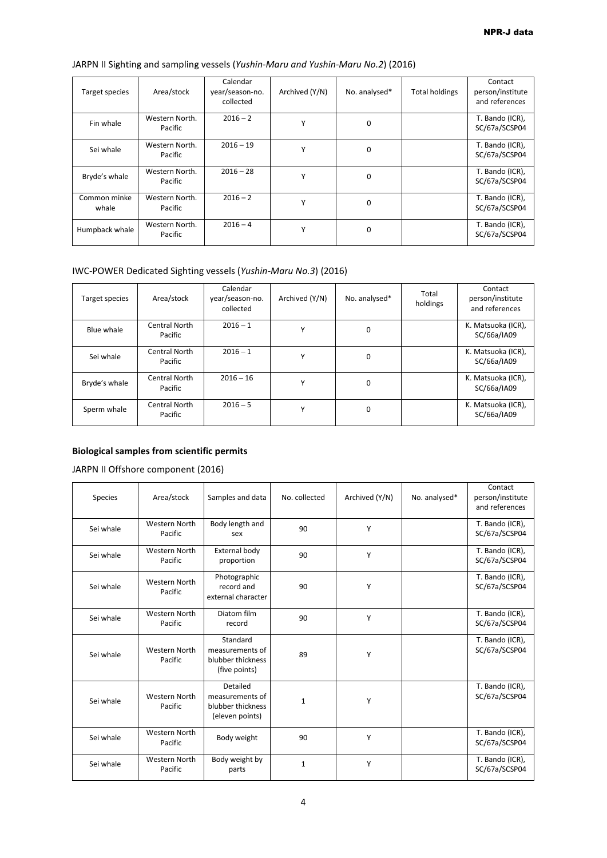| Target species        | Area/stock                | Calendar<br>year/season-no.<br>collected | Archived (Y/N) | No. analysed* | <b>Total holdings</b> | Contact<br>person/institute<br>and references |
|-----------------------|---------------------------|------------------------------------------|----------------|---------------|-----------------------|-----------------------------------------------|
| Fin whale             | Western North.<br>Pacific | $2016 - 2$                               | γ              | 0             |                       | T. Bando (ICR),<br>SC/67a/SCSP04              |
| Sei whale             | Western North.<br>Pacific | $2016 - 19$                              |                | 0             |                       | T. Bando (ICR),<br>SC/67a/SCSP04              |
| Bryde's whale         | Western North.<br>Pacific | $2016 - 28$                              | $\checkmark$   | 0             |                       | T. Bando (ICR),<br>SC/67a/SCSP04              |
| Common minke<br>whale | Western North.<br>Pacific | $2016 - 2$                               | $\checkmark$   | 0             |                       | T. Bando (ICR),<br>SC/67a/SCSP04              |
| Humpback whale        | Western North.<br>Pacific | $2016 - 4$                               | $\checkmark$   | 0             |                       | T. Bando (ICR),<br>SC/67a/SCSP04              |

## JARPN II Sighting and sampling vessels (*Yushin-Maru and Yushin-Maru No.2*) (2016)

## IWC-POWER Dedicated Sighting vessels (*Yushin-Maru No.3*) (2016)

| Target species | Area/stock                      | Calendar<br>year/season-no.<br>collected | Archived (Y/N) | No. analysed* | Total<br>holdings | Contact<br>person/institute<br>and references |
|----------------|---------------------------------|------------------------------------------|----------------|---------------|-------------------|-----------------------------------------------|
| Blue whale     | Central North<br>Pacific        | $2016 - 1$                               | $\checkmark$   | 0             |                   | K. Matsuoka (ICR),<br>SC/66a/IA09             |
| Sei whale      | Central North<br>Pacific        | $2016 - 1$                               | v              | 0             |                   | K. Matsuoka (ICR),<br>SC/66a/IA09             |
| Bryde's whale  | <b>Central North</b><br>Pacific | $2016 - 16$                              | Υ              | 0             |                   | K. Matsuoka (ICR),<br>SC/66a/IA09             |
| Sperm whale    | Central North<br>Pacific        | $2016 - 5$                               | $\checkmark$   | 0             |                   | K. Matsuoka (ICR),<br>SC/66a/IA09             |

#### **Biological samples from scientific permits**

## JARPN II Offshore component (2016)

| <b>Species</b> | Area/stock                      | Samples and data                                                    | No. collected | Archived (Y/N) | No. analysed* | Contact<br>person/institute<br>and references |
|----------------|---------------------------------|---------------------------------------------------------------------|---------------|----------------|---------------|-----------------------------------------------|
| Sei whale      | <b>Western North</b><br>Pacific | Body length and<br>sex                                              | 90            | Y              |               | T. Bando (ICR),<br>SC/67a/SCSP04              |
| Sei whale      | <b>Western North</b><br>Pacific | External body<br>proportion                                         | 90            | Υ              |               | T. Bando (ICR),<br>SC/67a/SCSP04              |
| Sei whale      | <b>Western North</b><br>Pacific | Photographic<br>record and<br>external character                    | 90            | Υ              |               | T. Bando (ICR),<br>SC/67a/SCSP04              |
| Sei whale      | <b>Western North</b><br>Pacific | Diatom film<br>record                                               | 90            | Υ              |               | T. Bando (ICR),<br>SC/67a/SCSP04              |
| Sei whale      | <b>Western North</b><br>Pacific | Standard<br>measurements of<br>blubber thickness<br>(five points)   | 89            | Υ              |               | T. Bando (ICR),<br>SC/67a/SCSP04              |
| Sei whale      | <b>Western North</b><br>Pacific | Detailed<br>measurements of<br>blubber thickness<br>(eleven points) | $\mathbf{1}$  | Υ              |               | T. Bando (ICR),<br>SC/67a/SCSP04              |
| Sei whale      | <b>Western North</b><br>Pacific | Body weight                                                         | 90            | Υ              |               | T. Bando (ICR),<br>SC/67a/SCSP04              |
| Sei whale      | <b>Western North</b><br>Pacific | Body weight by<br>parts                                             | $\mathbf{1}$  | Υ              |               | T. Bando (ICR),<br>SC/67a/SCSP04              |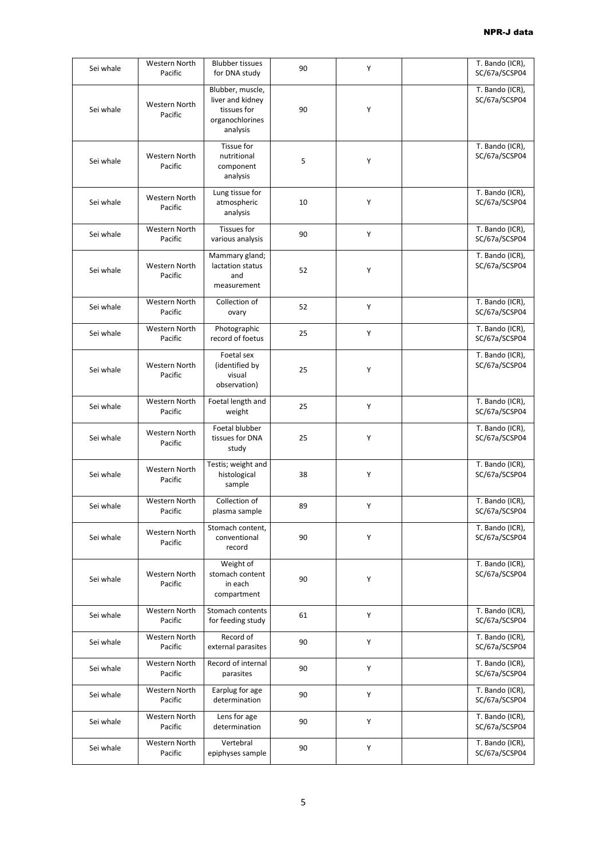| Sei whale | Western North<br>Pacific | <b>Blubber tissues</b><br>for DNA study                                            | 90 | Υ | T. Bando (ICR),<br>SC/67a/SCSP04 |
|-----------|--------------------------|------------------------------------------------------------------------------------|----|---|----------------------------------|
| Sei whale | Western North<br>Pacific | Blubber, muscle,<br>liver and kidney<br>tissues for<br>organochlorines<br>analysis | 90 | Υ | T. Bando (ICR),<br>SC/67a/SCSP04 |
| Sei whale | Western North<br>Pacific | <b>Tissue for</b><br>nutritional<br>component<br>analysis                          | 5  | Υ | T. Bando (ICR),<br>SC/67a/SCSP04 |
| Sei whale | Western North<br>Pacific | Lung tissue for<br>atmospheric<br>analysis                                         | 10 | Υ | T. Bando (ICR),<br>SC/67a/SCSP04 |
| Sei whale | Western North<br>Pacific | <b>Tissues for</b><br>various analysis                                             | 90 | Υ | T. Bando (ICR),<br>SC/67a/SCSP04 |
| Sei whale | Western North<br>Pacific | Mammary gland;<br>lactation status<br>and<br>measurement                           | 52 | Υ | T. Bando (ICR),<br>SC/67a/SCSP04 |
| Sei whale | Western North<br>Pacific | Collection of<br>ovary                                                             | 52 | Υ | T. Bando (ICR),<br>SC/67a/SCSP04 |
| Sei whale | Western North<br>Pacific | Photographic<br>record of foetus                                                   | 25 | Υ | T. Bando (ICR),<br>SC/67a/SCSP04 |
| Sei whale | Western North<br>Pacific | Foetal sex<br>(identified by<br>visual<br>observation)                             | 25 | Υ | T. Bando (ICR),<br>SC/67a/SCSP04 |
| Sei whale | Western North<br>Pacific | Foetal length and<br>weight                                                        | 25 | Υ | T. Bando (ICR),<br>SC/67a/SCSP04 |
| Sei whale | Western North<br>Pacific | Foetal blubber<br>tissues for DNA<br>study                                         | 25 | Υ | T. Bando (ICR),<br>SC/67a/SCSP04 |
| Sei whale | Western North<br>Pacific | Testis; weight and<br>histological<br>sample                                       | 38 | Υ | T. Bando (ICR),<br>SC/67a/SCSP04 |
| Sei whale | Western North<br>Pacific | Collection of<br>plasma sample                                                     | 89 | Υ | T. Bando (ICR),<br>SC/67a/SCSP04 |
| Sei whale | Western North<br>Pacific | Stomach content,<br>conventional<br>record                                         | 90 | Υ | T. Bando (ICR),<br>SC/67a/SCSP04 |
| Sei whale | Western North<br>Pacific | Weight of<br>stomach content<br>in each<br>compartment                             | 90 | Υ | T. Bando (ICR),<br>SC/67a/SCSP04 |
| Sei whale | Western North<br>Pacific | Stomach contents<br>for feeding study                                              | 61 | Υ | T. Bando (ICR),<br>SC/67a/SCSP04 |
| Sei whale | Western North<br>Pacific | Record of<br>external parasites                                                    | 90 | Υ | T. Bando (ICR),<br>SC/67a/SCSP04 |
| Sei whale | Western North<br>Pacific | Record of internal<br>parasites                                                    | 90 | Υ | T. Bando (ICR),<br>SC/67a/SCSP04 |
| Sei whale | Western North<br>Pacific | Earplug for age<br>determination                                                   | 90 | Υ | T. Bando (ICR),<br>SC/67a/SCSP04 |
| Sei whale | Western North<br>Pacific | Lens for age<br>determination                                                      | 90 | Υ | T. Bando (ICR),<br>SC/67a/SCSP04 |
| Sei whale | Western North<br>Pacific | Vertebral<br>epiphyses sample                                                      | 90 | Υ | T. Bando (ICR),<br>SC/67a/SCSP04 |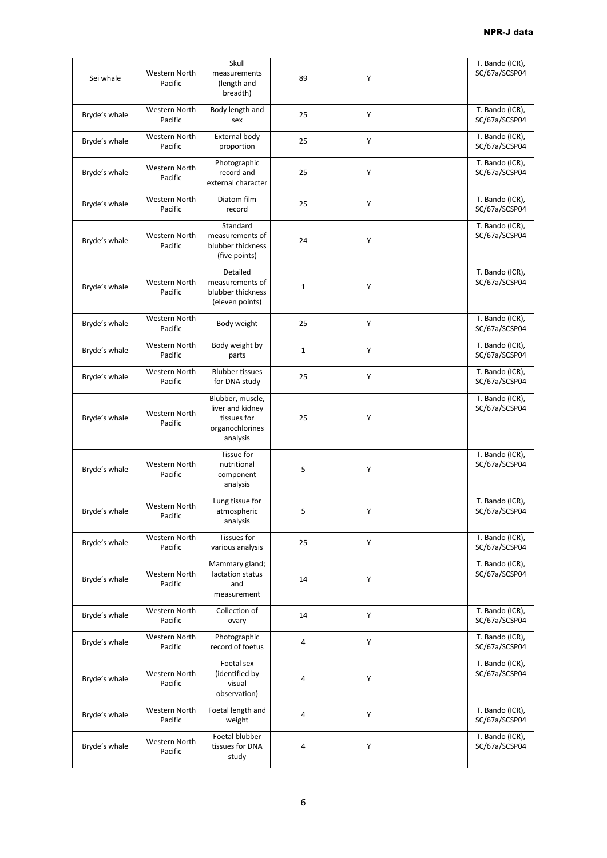| Sei whale     | Western North<br>Pacific        | Skull<br>measurements<br>(length and<br>breadth)                                   | 89             | Y | T. Bando (ICR),<br>SC/67a/SCSP04 |
|---------------|---------------------------------|------------------------------------------------------------------------------------|----------------|---|----------------------------------|
| Bryde's whale | Western North<br>Pacific        | Body length and<br>sex                                                             | 25             | Y | T. Bando (ICR),<br>SC/67a/SCSP04 |
| Bryde's whale | Western North<br>Pacific        | External body<br>proportion                                                        | 25             | Υ | T. Bando (ICR),<br>SC/67a/SCSP04 |
| Bryde's whale | Western North<br>Pacific        | Photographic<br>record and<br>external character                                   | 25             | Υ | T. Bando (ICR),<br>SC/67a/SCSP04 |
| Bryde's whale | Western North<br>Pacific        | Diatom film<br>record                                                              | 25             | Υ | T. Bando (ICR),<br>SC/67a/SCSP04 |
| Bryde's whale | Western North<br>Pacific        | Standard<br>measurements of<br>blubber thickness<br>(five points)                  | 24             | Υ | T. Bando (ICR),<br>SC/67a/SCSP04 |
| Bryde's whale | Western North<br>Pacific        | Detailed<br>measurements of<br>blubber thickness<br>(eleven points)                | $1\,$          | Υ | T. Bando (ICR),<br>SC/67a/SCSP04 |
| Bryde's whale | Western North<br>Pacific        | Body weight                                                                        | 25             | Υ | T. Bando (ICR),<br>SC/67a/SCSP04 |
| Bryde's whale | Western North<br>Pacific        | Body weight by<br>parts                                                            | $\mathbf{1}$   | Y | T. Bando (ICR),<br>SC/67a/SCSP04 |
| Bryde's whale | Western North<br>Pacific        | <b>Blubber tissues</b><br>for DNA study                                            | 25             | Υ | T. Bando (ICR),<br>SC/67a/SCSP04 |
| Bryde's whale | Western North<br>Pacific        | Blubber, muscle,<br>liver and kidney<br>tissues for<br>organochlorines<br>analysis | 25             | Υ | T. Bando (ICR),<br>SC/67a/SCSP04 |
| Bryde's whale | <b>Western North</b><br>Pacific | <b>Tissue for</b><br>nutritional<br>component<br>analysis                          | 5              | Υ | T. Bando (ICR),<br>SC/67a/SCSP04 |
| Bryde's whale | <b>Western North</b><br>Pacific | Lung tissue for<br>atmospheric<br>analysis                                         | 5              | Υ | T. Bando (ICR),<br>SC/67a/SCSP04 |
| Bryde's whale | Western North<br>Pacific        | <b>Tissues for</b><br>various analysis                                             | 25             | Υ | T. Bando (ICR),<br>SC/67a/SCSP04 |
| Bryde's whale | Western North<br>Pacific        | Mammary gland;<br>lactation status<br>and<br>measurement                           | 14             | Υ | T. Bando (ICR),<br>SC/67a/SCSP04 |
| Bryde's whale | Western North<br>Pacific        | Collection of<br>ovary                                                             | 14             | Υ | T. Bando (ICR),<br>SC/67a/SCSP04 |
| Bryde's whale | Western North<br>Pacific        | Photographic<br>record of foetus                                                   | $\overline{4}$ | Υ | T. Bando (ICR),<br>SC/67a/SCSP04 |
| Bryde's whale | Western North<br>Pacific        | Foetal sex<br>(identified by<br>visual<br>observation)                             | 4              | Υ | T. Bando (ICR),<br>SC/67a/SCSP04 |
| Bryde's whale | Western North<br>Pacific        | Foetal length and<br>weight                                                        | $\overline{4}$ | Υ | T. Bando (ICR),<br>SC/67a/SCSP04 |
| Bryde's whale | Western North<br>Pacific        | Foetal blubber<br>tissues for DNA<br>study                                         | 4              | Υ | T. Bando (ICR),<br>SC/67a/SCSP04 |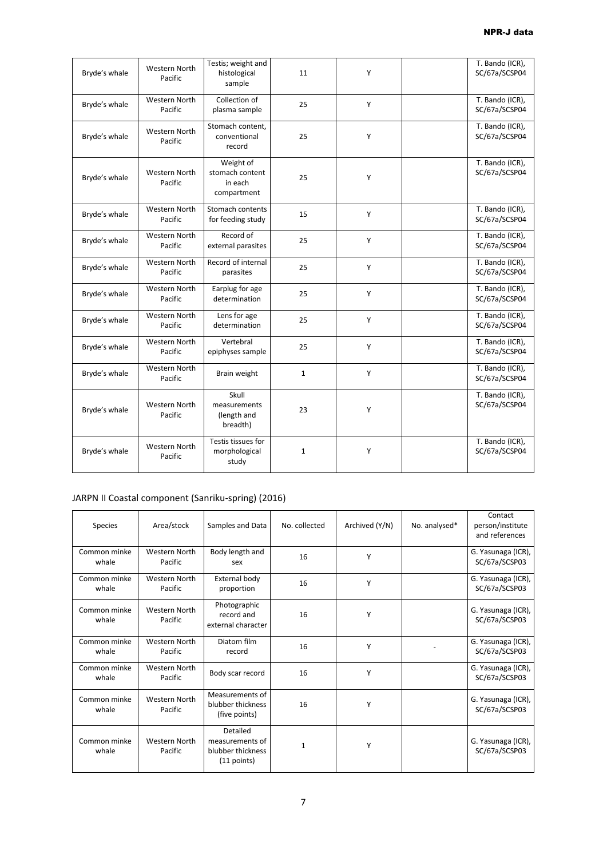| Bryde's whale | <b>Western North</b><br>Pacific | Testis; weight and<br>histological<br>sample           | 11           | Y | T. Bando (ICR),<br>SC/67a/SCSP04 |
|---------------|---------------------------------|--------------------------------------------------------|--------------|---|----------------------------------|
| Bryde's whale | <b>Western North</b><br>Pacific | Collection of<br>plasma sample                         | 25           | Y | T. Bando (ICR),<br>SC/67a/SCSP04 |
| Bryde's whale | Western North<br>Pacific        | Stomach content,<br>conventional<br>record             | 25           | Y | T. Bando (ICR),<br>SC/67a/SCSP04 |
| Bryde's whale | <b>Western North</b><br>Pacific | Weight of<br>stomach content<br>in each<br>compartment | 25           | Y | T. Bando (ICR),<br>SC/67a/SCSP04 |
| Bryde's whale | <b>Western North</b><br>Pacific | Stomach contents<br>for feeding study                  | 15           | Y | T. Bando (ICR),<br>SC/67a/SCSP04 |
| Bryde's whale | <b>Western North</b><br>Pacific | Record of<br>external parasites                        | 25           | Y | T. Bando (ICR),<br>SC/67a/SCSP04 |
| Bryde's whale | <b>Western North</b><br>Pacific | Record of internal<br>parasites                        | 25           | Υ | T. Bando (ICR),<br>SC/67a/SCSP04 |
| Bryde's whale | Western North<br>Pacific        | Earplug for age<br>determination                       | 25           | Y | T. Bando (ICR),<br>SC/67a/SCSP04 |
| Bryde's whale | <b>Western North</b><br>Pacific | Lens for age<br>determination                          | 25           | Y | T. Bando (ICR),<br>SC/67a/SCSP04 |
| Bryde's whale | <b>Western North</b><br>Pacific | Vertebral<br>epiphyses sample                          | 25           | Y | T. Bando (ICR),<br>SC/67a/SCSP04 |
| Bryde's whale | <b>Western North</b><br>Pacific | Brain weight                                           | $\mathbf{1}$ | Y | T. Bando (ICR),<br>SC/67a/SCSP04 |
| Bryde's whale | <b>Western North</b><br>Pacific | Skull<br>measurements<br>(length and<br>breadth)       | 23           | Υ | T. Bando (ICR),<br>SC/67a/SCSP04 |
| Bryde's whale | <b>Western North</b><br>Pacific | Testis tissues for<br>morphological<br>study           | $\mathbf 1$  | Υ | T. Bando (ICR),<br>SC/67a/SCSP04 |

# JARPN II Coastal component (Sanriku-spring) (2016)

| Species               | Area/stock                      | Samples and Data                                                  | No. collected | Archived (Y/N) | No. analysed* | Contact<br>person/institute<br>and references |
|-----------------------|---------------------------------|-------------------------------------------------------------------|---------------|----------------|---------------|-----------------------------------------------|
| Common minke<br>whale | <b>Western North</b><br>Pacific | Body length and<br>sex                                            | 16            | Υ              |               | G. Yasunaga (ICR),<br>SC/67a/SCSP03           |
| Common minke<br>whale | Western North<br>Pacific        | External body<br>proportion                                       | 16            | Υ              |               | G. Yasunaga (ICR),<br>SC/67a/SCSP03           |
| Common minke<br>whale | Western North<br>Pacific        | Photographic<br>record and<br>external character                  | 16            | Υ              |               | G. Yasunaga (ICR),<br>SC/67a/SCSP03           |
| Common minke<br>whale | Western North<br>Pacific        | Diatom film<br>record                                             | 16            | Υ              |               | G. Yasunaga (ICR),<br>SC/67a/SCSP03           |
| Common minke<br>whale | <b>Western North</b><br>Pacific | Body scar record                                                  | 16            | Υ              |               | G. Yasunaga (ICR),<br>SC/67a/SCSP03           |
| Common minke<br>whale | <b>Western North</b><br>Pacific | Measurements of<br>blubber thickness<br>(five points)             | 16            | Υ              |               | G. Yasunaga (ICR),<br>SC/67a/SCSP03           |
| Common minke<br>whale | Western North<br>Pacific        | Detailed<br>measurements of<br>blubber thickness<br>$(11$ points) | 1             | Υ              |               | G. Yasunaga (ICR),<br>SC/67a/SCSP03           |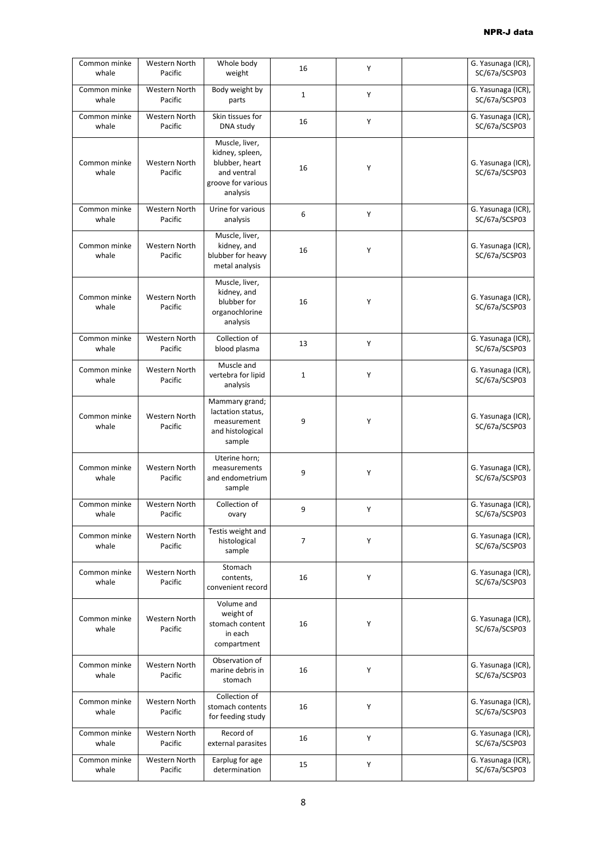| Common minke<br>whale | Western North<br>Pacific | Whole body<br>weight                                                                                 | 16             | Υ | G. Yasunaga (ICR),<br>SC/67a/SCSP03 |
|-----------------------|--------------------------|------------------------------------------------------------------------------------------------------|----------------|---|-------------------------------------|
| Common minke<br>whale | Western North<br>Pacific | Body weight by<br>parts                                                                              | $\mathbf{1}$   | Y | G. Yasunaga (ICR),<br>SC/67a/SCSP03 |
| Common minke<br>whale | Western North<br>Pacific | Skin tissues for<br>DNA study                                                                        | 16             | Y | G. Yasunaga (ICR),<br>SC/67a/SCSP03 |
| Common minke<br>whale | Western North<br>Pacific | Muscle, liver,<br>kidney, spleen,<br>blubber, heart<br>and ventral<br>groove for various<br>analysis | 16             | Υ | G. Yasunaga (ICR),<br>SC/67a/SCSP03 |
| Common minke<br>whale | Western North<br>Pacific | Urine for various<br>analysis                                                                        | 6              | Υ | G. Yasunaga (ICR),<br>SC/67a/SCSP03 |
| Common minke<br>whale | Western North<br>Pacific | Muscle, liver,<br>kidney, and<br>blubber for heavy<br>metal analysis                                 | 16             | Υ | G. Yasunaga (ICR),<br>SC/67a/SCSP03 |
| Common minke<br>whale | Western North<br>Pacific | Muscle, liver,<br>kidney, and<br>blubber for<br>organochlorine<br>analysis                           | 16             | Υ | G. Yasunaga (ICR),<br>SC/67a/SCSP03 |
| Common minke<br>whale | Western North<br>Pacific | Collection of<br>blood plasma                                                                        | 13             | Y | G. Yasunaga (ICR),<br>SC/67a/SCSP03 |
| Common minke<br>whale | Western North<br>Pacific | Muscle and<br>vertebra for lipid<br>analysis                                                         | $\mathbf{1}$   | Υ | G. Yasunaga (ICR),<br>SC/67a/SCSP03 |
| Common minke<br>whale | Western North<br>Pacific | Mammary grand;<br>lactation status,<br>measurement<br>and histological<br>sample                     | 9              | Υ | G. Yasunaga (ICR),<br>SC/67a/SCSP03 |
| Common minke<br>whale | Western North<br>Pacific | Uterine horn;<br>measurements<br>and endometrium<br>sample                                           | 9              | Υ | G. Yasunaga (ICR),<br>SC/67a/SCSP03 |
| Common minke<br>whale | Western North<br>Pacific | Collection of<br>ovary                                                                               | 9              | Y | G. Yasunaga (ICR),<br>SC/67a/SCSP03 |
| Common minke<br>whale | Western North<br>Pacific | Testis weight and<br>histological<br>sample                                                          | $\overline{7}$ | Y | G. Yasunaga (ICR),<br>SC/67a/SCSP03 |
| Common minke<br>whale | Western North<br>Pacific | Stomach<br>contents,<br>convenient record                                                            | 16             | Y | G. Yasunaga (ICR),<br>SC/67a/SCSP03 |
| Common minke<br>whale | Western North<br>Pacific | Volume and<br>weight of<br>stomach content<br>in each<br>compartment                                 | 16             | Υ | G. Yasunaga (ICR),<br>SC/67a/SCSP03 |
| Common minke<br>whale | Western North<br>Pacific | Observation of<br>marine debris in<br>stomach                                                        | 16             | Υ | G. Yasunaga (ICR),<br>SC/67a/SCSP03 |
| Common minke<br>whale | Western North<br>Pacific | Collection of<br>stomach contents<br>for feeding study                                               | 16             | Υ | G. Yasunaga (ICR),<br>SC/67a/SCSP03 |
| Common minke<br>whale | Western North<br>Pacific | Record of<br>external parasites                                                                      | 16             | Υ | G. Yasunaga (ICR),<br>SC/67a/SCSP03 |
| Common minke<br>whale | Western North<br>Pacific | Earplug for age<br>determination                                                                     | 15             | Υ | G. Yasunaga (ICR),<br>SC/67a/SCSP03 |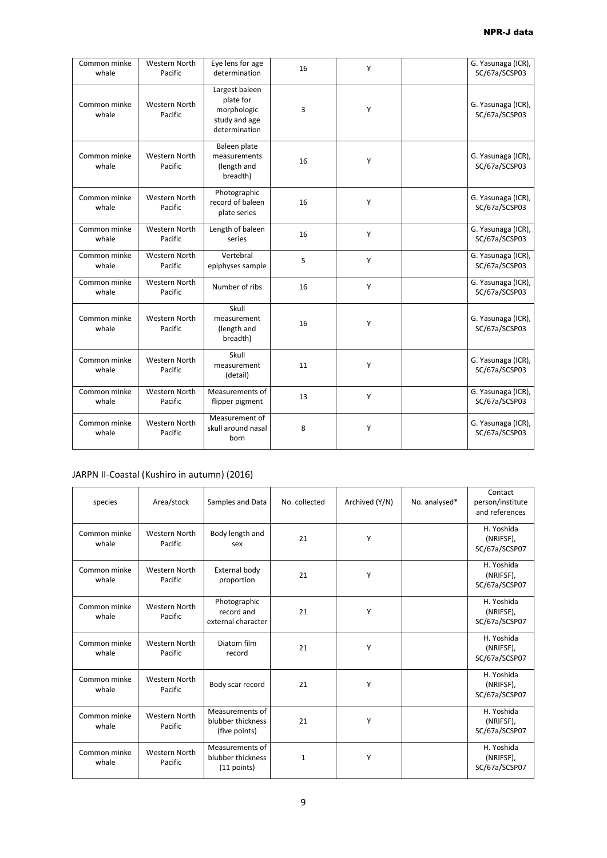| Common minke<br>whale | Western North<br>Pacific        | Eye lens for age<br>determination                                            | 16 | Y | G. Yasunaga (ICR),<br>SC/67a/SCSP03 |
|-----------------------|---------------------------------|------------------------------------------------------------------------------|----|---|-------------------------------------|
| Common minke<br>whale | <b>Western North</b><br>Pacific | Largest baleen<br>plate for<br>morphologic<br>study and age<br>determination | 3  | Υ | G. Yasunaga (ICR),<br>SC/67a/SCSP03 |
| Common minke<br>whale | <b>Western North</b><br>Pacific | Baleen plate<br>measurements<br>(length and<br>breadth)                      | 16 | Y | G. Yasunaga (ICR),<br>SC/67a/SCSP03 |
| Common minke<br>whale | <b>Western North</b><br>Pacific | Photographic<br>record of baleen<br>plate series                             | 16 | Y | G. Yasunaga (ICR),<br>SC/67a/SCSP03 |
| Common minke<br>whale | <b>Western North</b><br>Pacific | Length of baleen<br>series                                                   | 16 | Y | G. Yasunaga (ICR),<br>SC/67a/SCSP03 |
| Common minke<br>whale | <b>Western North</b><br>Pacific | Vertebral<br>epiphyses sample                                                | 5  | Υ | G. Yasunaga (ICR),<br>SC/67a/SCSP03 |
| Common minke<br>whale | <b>Western North</b><br>Pacific | Number of ribs                                                               | 16 | Y | G. Yasunaga (ICR),<br>SC/67a/SCSP03 |
| Common minke<br>whale | <b>Western North</b><br>Pacific | Skull<br>measurement<br>(length and<br>breadth)                              | 16 | Y | G. Yasunaga (ICR),<br>SC/67a/SCSP03 |
| Common minke<br>whale | Western North<br>Pacific        | Skull<br>measurement<br>(detail)                                             | 11 | Y | G. Yasunaga (ICR),<br>SC/67a/SCSP03 |
| Common minke<br>whale | <b>Western North</b><br>Pacific | Measurements of<br>flipper pigment                                           | 13 | Y | G. Yasunaga (ICR),<br>SC/67a/SCSP03 |
| Common minke<br>whale | <b>Western North</b><br>Pacific | Measurement of<br>skull around nasal<br>born                                 | 8  | Υ | G. Yasunaga (ICR),<br>SC/67a/SCSP03 |

# JARPN II-Coastal (Kushiro in autumn) (2016)

| species               | Area/stock                      | Samples and Data                                      | No. collected | Archived (Y/N) | No. analysed* | Contact<br>person/institute<br>and references |
|-----------------------|---------------------------------|-------------------------------------------------------|---------------|----------------|---------------|-----------------------------------------------|
| Common minke<br>whale | <b>Western North</b><br>Pacific | Body length and<br>sex                                | 21            | Υ              |               | H. Yoshida<br>(NRIFSF),<br>SC/67a/SCSP07      |
| Common minke<br>whale | <b>Western North</b><br>Pacific | External body<br>proportion                           | 21            | Υ              |               | H. Yoshida<br>(NRIFSF),<br>SC/67a/SCSP07      |
| Common minke<br>whale | <b>Western North</b><br>Pacific | Photographic<br>record and<br>external character      | 21            | Υ              |               | H. Yoshida<br>(NRIFSF),<br>SC/67a/SCSP07      |
| Common minke<br>whale | <b>Western North</b><br>Pacific | Diatom film<br>record                                 | 21            | Υ              |               | H. Yoshida<br>(NRIFSF),<br>SC/67a/SCSP07      |
| Common minke<br>whale | <b>Western North</b><br>Pacific | Body scar record                                      | 21            | Υ              |               | H. Yoshida<br>(NRIFSF),<br>SC/67a/SCSP07      |
| Common minke<br>whale | <b>Western North</b><br>Pacific | Measurements of<br>blubber thickness<br>(five points) | 21            | Υ              |               | H. Yoshida<br>(NRIFSF),<br>SC/67a/SCSP07      |
| Common minke<br>whale | <b>Western North</b><br>Pacific | Measurements of<br>blubber thickness<br>$(11$ points) | 1             | Υ              |               | H. Yoshida<br>(NRIFSF),<br>SC/67a/SCSP07      |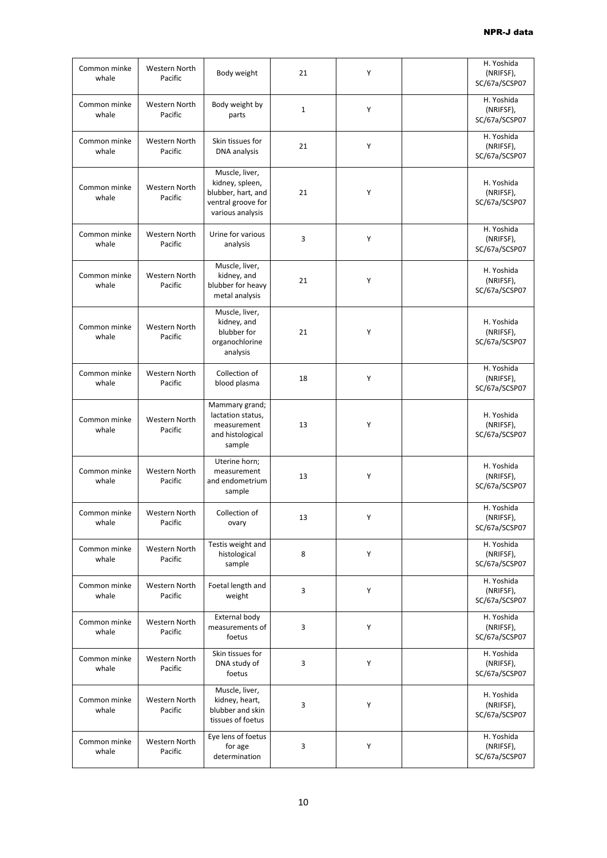| Common minke<br>whale | Western North<br>Pacific        | Body weight                                                                                       | 21          | Υ | H. Yoshida<br>(NRIFSF),<br>SC/67a/SCSP07 |
|-----------------------|---------------------------------|---------------------------------------------------------------------------------------------------|-------------|---|------------------------------------------|
| Common minke<br>whale | Western North<br>Pacific        | Body weight by<br>parts                                                                           | $\mathbf 1$ | Υ | H. Yoshida<br>(NRIFSF),<br>SC/67a/SCSP07 |
| Common minke<br>whale | Western North<br>Pacific        | Skin tissues for<br>DNA analysis                                                                  | 21          | Υ | H. Yoshida<br>(NRIFSF),<br>SC/67a/SCSP07 |
| Common minke<br>whale | Western North<br>Pacific        | Muscle, liver,<br>kidney, spleen,<br>blubber, hart, and<br>ventral groove for<br>various analysis | 21          | Υ | H. Yoshida<br>(NRIFSF),<br>SC/67a/SCSP07 |
| Common minke<br>whale | Western North<br>Pacific        | Urine for various<br>analysis                                                                     | 3           | Υ | H. Yoshida<br>(NRIFSF),<br>SC/67a/SCSP07 |
| Common minke<br>whale | Western North<br>Pacific        | Muscle, liver,<br>kidney, and<br>blubber for heavy<br>metal analysis                              | 21          | Υ | H. Yoshida<br>(NRIFSF),<br>SC/67a/SCSP07 |
| Common minke<br>whale | Western North<br>Pacific        | Muscle, liver,<br>kidney, and<br>blubber for<br>organochlorine<br>analysis                        | 21          | Υ | H. Yoshida<br>(NRIFSF),<br>SC/67a/SCSP07 |
| Common minke<br>whale | Western North<br>Pacific        | Collection of<br>blood plasma                                                                     | 18          | Υ | H. Yoshida<br>(NRIFSF),<br>SC/67a/SCSP07 |
| Common minke<br>whale | Western North<br>Pacific        | Mammary grand;<br>lactation status,<br>measurement<br>and histological<br>sample                  | 13          | Y | H. Yoshida<br>(NRIFSF),<br>SC/67a/SCSP07 |
| Common minke<br>whale | <b>Western North</b><br>Pacific | Uterine horn;<br>measurement<br>and endometrium<br>sample                                         | 13          | Υ | H. Yoshida<br>(NRIFSF),<br>SC/67a/SCSP07 |
| Common minke<br>whale | Western North<br>Pacific        | Collection of<br>ovary                                                                            | 13          | Υ | H. Yoshida<br>(NRIFSF),<br>SC/67a/SCSP07 |
| Common minke<br>whale | Western North<br>Pacific        | Testis weight and<br>histological<br>sample                                                       | 8           | Υ | H. Yoshida<br>(NRIFSF),<br>SC/67a/SCSP07 |
| Common minke<br>whale | Western North<br>Pacific        | Foetal length and<br>weight                                                                       | 3           | Υ | H. Yoshida<br>(NRIFSF),<br>SC/67a/SCSP07 |
| Common minke<br>whale | Western North<br>Pacific        | <b>External body</b><br>measurements of<br>foetus                                                 | 3           | Υ | H. Yoshida<br>(NRIFSF),<br>SC/67a/SCSP07 |
| Common minke<br>whale | Western North<br>Pacific        | Skin tissues for<br>DNA study of<br>foetus                                                        | 3           | Υ | H. Yoshida<br>(NRIFSF),<br>SC/67a/SCSP07 |
| Common minke<br>whale | Western North<br>Pacific        | Muscle, liver,<br>kidney, heart,<br>blubber and skin<br>tissues of foetus                         | 3           | Υ | H. Yoshida<br>(NRIFSF),<br>SC/67a/SCSP07 |
| Common minke<br>whale | Western North<br>Pacific        | Eye lens of foetus<br>for age<br>determination                                                    | 3           | Υ | H. Yoshida<br>(NRIFSF),<br>SC/67a/SCSP07 |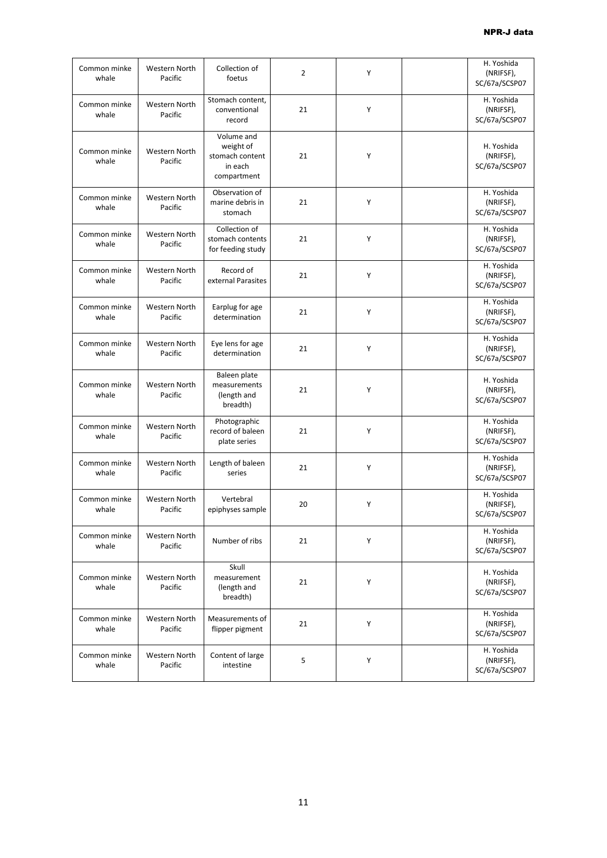| Common minke<br>whale | Western North<br>Pacific | Collection of<br>foetus                                              | $\overline{2}$ | Υ | H. Yoshida<br>(NRIFSF),<br>SC/67a/SCSP07 |
|-----------------------|--------------------------|----------------------------------------------------------------------|----------------|---|------------------------------------------|
| Common minke<br>whale | Western North<br>Pacific | Stomach content,<br>conventional<br>record                           | 21             | Υ | H. Yoshida<br>(NRIFSF),<br>SC/67a/SCSP07 |
| Common minke<br>whale | Western North<br>Pacific | Volume and<br>weight of<br>stomach content<br>in each<br>compartment | 21             | Υ | H. Yoshida<br>(NRIFSF),<br>SC/67a/SCSP07 |
| Common minke<br>whale | Western North<br>Pacific | Observation of<br>marine debris in<br>stomach                        | 21             | Υ | H. Yoshida<br>(NRIFSF),<br>SC/67a/SCSP07 |
| Common minke<br>whale | Western North<br>Pacific | Collection of<br>stomach contents<br>for feeding study               | 21             | Y | H. Yoshida<br>(NRIFSF),<br>SC/67a/SCSP07 |
| Common minke<br>whale | Western North<br>Pacific | Record of<br>external Parasites                                      | 21             | Y | H. Yoshida<br>(NRIFSF),<br>SC/67a/SCSP07 |
| Common minke<br>whale | Western North<br>Pacific | Earplug for age<br>determination                                     | 21             | Y | H. Yoshida<br>(NRIFSF),<br>SC/67a/SCSP07 |
| Common minke<br>whale | Western North<br>Pacific | Eye lens for age<br>determination                                    | 21             | Υ | H. Yoshida<br>(NRIFSF),<br>SC/67a/SCSP07 |
| Common minke<br>whale | Western North<br>Pacific | Baleen plate<br>measurements<br>(length and<br>breadth)              | 21             | Υ | H. Yoshida<br>(NRIFSF),<br>SC/67a/SCSP07 |
| Common minke<br>whale | Western North<br>Pacific | Photographic<br>record of baleen<br>plate series                     | 21             | Υ | H. Yoshida<br>(NRIFSF),<br>SC/67a/SCSP07 |
| Common minke<br>whale | Western North<br>Pacific | Length of baleen<br>series                                           | 21             | Υ | H. Yoshida<br>(NRIFSF),<br>SC/67a/SCSP07 |
| Common minke<br>whale | Western North<br>Pacific | Vertebral<br>epiphyses sample                                        | 20             | Υ | H. Yoshida<br>(NRIFSF),<br>SC/67a/SCSP07 |
| Common minke<br>whale | Western North<br>Pacific | Number of ribs                                                       | 21             | Υ | H. Yoshida<br>(NRIFSF),<br>SC/67a/SCSP07 |
| Common minke<br>whale | Western North<br>Pacific | Skull<br>measurement<br>(length and<br>breadth)                      | 21             | Υ | H. Yoshida<br>(NRIFSF),<br>SC/67a/SCSP07 |
| Common minke<br>whale | Western North<br>Pacific | Measurements of<br>flipper pigment                                   | 21             | Υ | H. Yoshida<br>(NRIFSF),<br>SC/67a/SCSP07 |
| Common minke<br>whale | Western North<br>Pacific | Content of large<br>intestine                                        | 5              | Υ | H. Yoshida<br>(NRIFSF),<br>SC/67a/SCSP07 |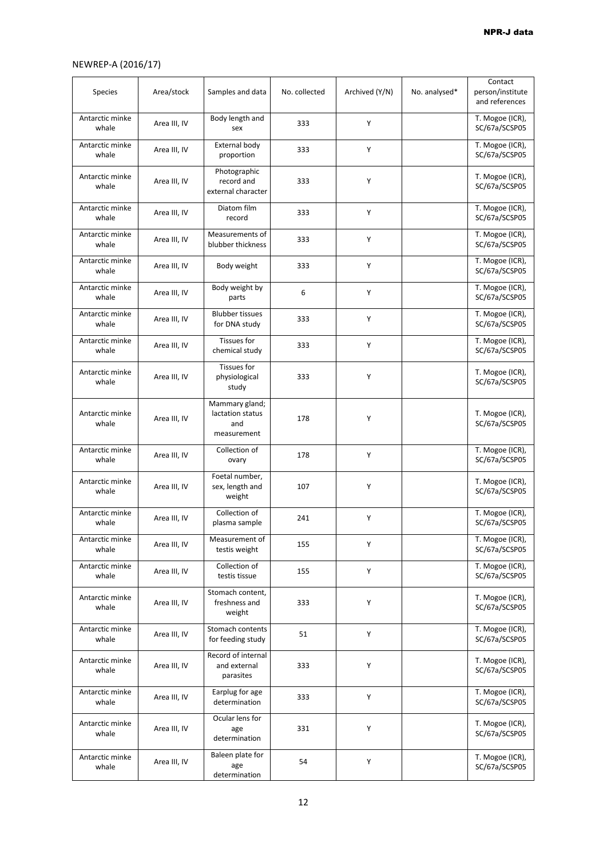## NEWREP-A (2016/17)

| Species                  | Area/stock   | Samples and data                                         | No. collected | Archived (Y/N) | No. analysed* | Contact<br>person/institute<br>and references |
|--------------------------|--------------|----------------------------------------------------------|---------------|----------------|---------------|-----------------------------------------------|
| Antarctic minke<br>whale | Area III, IV | Body length and<br>sex                                   | 333           | Υ              |               | T. Mogoe (ICR),<br>SC/67a/SCSP05              |
| Antarctic minke<br>whale | Area III, IV | External body<br>proportion                              | 333           | Υ              |               | T. Mogoe (ICR),<br>SC/67a/SCSP05              |
| Antarctic minke<br>whale | Area III, IV | Photographic<br>record and<br>external character         | 333           | Υ              |               | T. Mogoe (ICR),<br>SC/67a/SCSP05              |
| Antarctic minke<br>whale | Area III, IV | Diatom film<br>record                                    | 333           | Υ              |               | T. Mogoe (ICR),<br>SC/67a/SCSP05              |
| Antarctic minke<br>whale | Area III, IV | Measurements of<br>blubber thickness                     | 333           | Υ              |               | T. Mogoe (ICR),<br>SC/67a/SCSP05              |
| Antarctic minke<br>whale | Area III, IV | Body weight                                              | 333           | Y              |               | T. Mogoe (ICR),<br>SC/67a/SCSP05              |
| Antarctic minke<br>whale | Area III, IV | Body weight by<br>parts                                  | 6             | Υ              |               | T. Mogoe (ICR),<br>SC/67a/SCSP05              |
| Antarctic minke<br>whale | Area III, IV | <b>Blubber tissues</b><br>for DNA study                  | 333           | Υ              |               | T. Mogoe (ICR),<br>SC/67a/SCSP05              |
| Antarctic minke<br>whale | Area III, IV | <b>Tissues for</b><br>chemical study                     | 333           | Υ              |               | T. Mogoe (ICR),<br>SC/67a/SCSP05              |
| Antarctic minke<br>whale | Area III, IV | <b>Tissues for</b><br>physiological<br>study             | 333           | Υ              |               | T. Mogoe (ICR),<br>SC/67a/SCSP05              |
| Antarctic minke<br>whale | Area III, IV | Mammary gland;<br>lactation status<br>and<br>measurement | 178           | Υ              |               | T. Mogoe (ICR),<br>SC/67a/SCSP05              |
| Antarctic minke<br>whale | Area III, IV | Collection of<br>ovary                                   | 178           | Υ              |               | T. Mogoe (ICR),<br>SC/67a/SCSP05              |
| Antarctic minke<br>whale | Area III, IV | Foetal number,<br>sex, length and<br>weight              | 107           | Υ              |               | T. Mogoe (ICR),<br>SC/67a/SCSP05              |
| Antarctic minke<br>whale | Area III, IV | Collection of<br>plasma sample                           | 241           | Y              |               | T. Mogoe (ICR),<br>SC/67a/SCSP05              |
| Antarctic minke<br>whale | Area III, IV | Measurement of<br>testis weight                          | 155           | Υ              |               | T. Mogoe (ICR),<br>SC/67a/SCSP05              |
| Antarctic minke<br>whale | Area III, IV | Collection of<br>testis tissue                           | 155           | Υ              |               | T. Mogoe (ICR),<br>SC/67a/SCSP05              |
| Antarctic minke<br>whale | Area III, IV | Stomach content,<br>freshness and<br>weight              | 333           | Υ              |               | T. Mogoe (ICR),<br>SC/67a/SCSP05              |
| Antarctic minke<br>whale | Area III, IV | Stomach contents<br>for feeding study                    | 51            | Υ              |               | T. Mogoe (ICR),<br>SC/67a/SCSP05              |
| Antarctic minke<br>whale | Area III, IV | Record of internal<br>and external<br>parasites          | 333           | Υ              |               | T. Mogoe (ICR),<br>SC/67a/SCSP05              |
| Antarctic minke<br>whale | Area III, IV | Earplug for age<br>determination                         | 333           | Υ              |               | T. Mogoe (ICR),<br>SC/67a/SCSP05              |
| Antarctic minke<br>whale | Area III, IV | Ocular lens for<br>age<br>determination                  | 331           | Υ              |               | T. Mogoe (ICR),<br>SC/67a/SCSP05              |
| Antarctic minke<br>whale | Area III, IV | Baleen plate for<br>age<br>determination                 | 54            | Υ              |               | T. Mogoe (ICR),<br>SC/67a/SCSP05              |